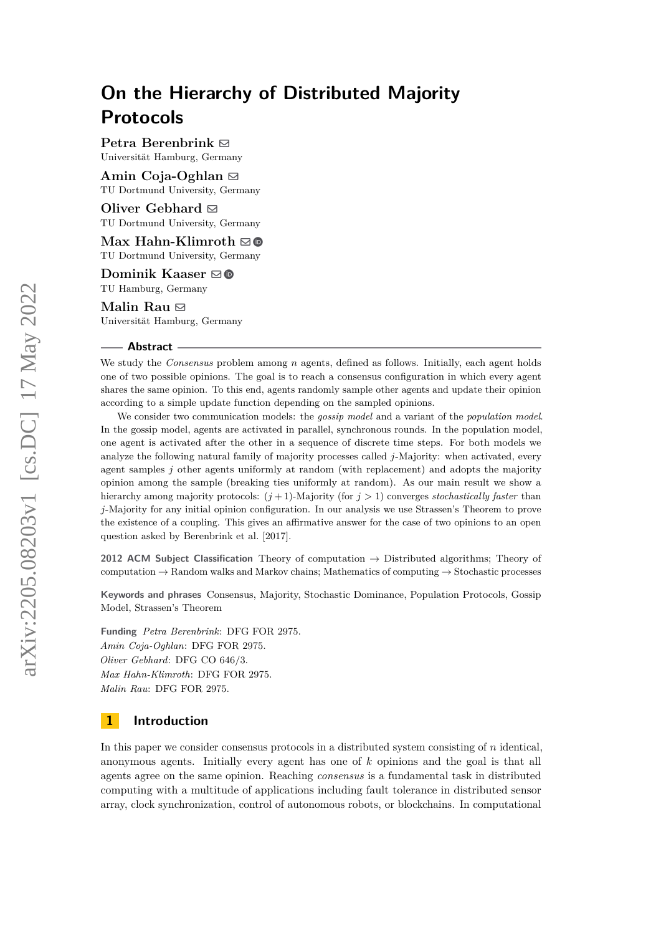**Petra Berenbrink** [!](mailto:petra.berenbrink@uni-hamburg.de) Universität Hamburg, Germany

### **Amin Coja-Oghlan** [!](mailto:amin.coja-oghlan@tu-dortmund.de)

TU Dortmund University, Germany

**Oliver Gebhard** [!](mailto:oliver.gebhard@tu-dortmund.de) TU Dortmund University, Germany

**Max Hahn-Klimroth** [!](mailto:maximilian.hahnklimroth@tu-dortmund.de) TU Dortmund University, Germany

**Dominik Kaaser** [!](mailto:dominik.kaaser@tuhh.de) TU Hamburg, Germany

**Malin Rau** [!](mailto:malin.rau@uni-hamburg.de) Universität Hamburg, Germany

#### **Abstract**

We study the *Consensus* problem among *n* agents, defined as follows. Initially, each agent holds one of two possible opinions. The goal is to reach a consensus configuration in which every agent shares the same opinion. To this end, agents randomly sample other agents and update their opinion according to a simple update function depending on the sampled opinions.

We consider two communication models: the *gossip model* and a variant of the *population model*. In the gossip model, agents are activated in parallel, synchronous rounds. In the population model, one agent is activated after the other in a sequence of discrete time steps. For both models we analyze the following natural family of majority processes called *j*-Majority: when activated, every agent samples *j* other agents uniformly at random (with replacement) and adopts the majority opinion among the sample (breaking ties uniformly at random). As our main result we show a hierarchy among majority protocols: (*j* + 1)-Majority (for *j >* 1) converges *stochastically faster* than *j*-Majority for any initial opinion configuration. In our analysis we use Strassen's Theorem to prove the existence of a coupling. This gives an affirmative answer for the case of two opinions to an open question asked by Berenbrink et al. [2017].

**2012 ACM Subject Classification** Theory of computation → Distributed algorithms; Theory of computation  $\rightarrow$  Random walks and Markov chains; Mathematics of computing  $\rightarrow$  Stochastic processes

**Keywords and phrases** Consensus, Majority, Stochastic Dominance, Population Protocols, Gossip Model, Strassen's Theorem

**Funding** *Petra Berenbrink*: DFG FOR 2975. *Amin Coja-Oghlan*: DFG FOR 2975. *Oliver Gebhard*: DFG CO 646/3. *Max Hahn-Klimroth*: DFG FOR 2975. *Malin Rau*: DFG FOR 2975.

### **1 Introduction**

In this paper we consider consensus protocols in a distributed system consisting of *n* identical, anonymous agents. Initially every agent has one of *k* opinions and the goal is that all agents agree on the same opinion. Reaching *consensus* is a fundamental task in distributed computing with a multitude of applications including fault tolerance in distributed sensor array, clock synchronization, control of autonomous robots, or blockchains. In computational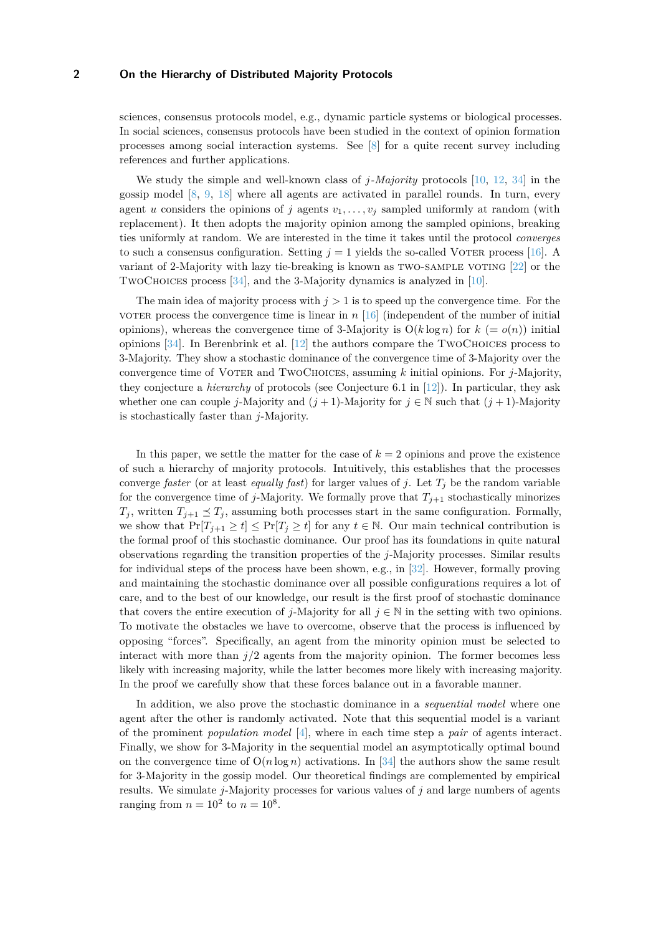sciences, consensus protocols model, e.g., dynamic particle systems or biological processes. In social sciences, consensus protocols have been studied in the context of opinion formation processes among social interaction systems. See [\[8\]](#page-16-0) for a quite recent survey including references and further applications.

We study the simple and well-known class of *j-Majority* protocols [\[10,](#page-16-1) [12,](#page-16-2) [34\]](#page-18-0) in the gossip model  $[8, 9, 18]$  $[8, 9, 18]$  $[8, 9, 18]$  $[8, 9, 18]$  $[8, 9, 18]$  where all agents are activated in parallel rounds. In turn, every agent *u* considers the opinions of *j* agents  $v_1, \ldots, v_j$  sampled uniformly at random (with replacement). It then adopts the majority opinion among the sampled opinions, breaking ties uniformly at random. We are interested in the time it takes until the protocol *converges* to such a consensus configuration. Setting  $j = 1$  yields the so-called VOTER process [\[16\]](#page-17-1). A variant of 2-Majority with lazy tie-breaking is known as two-sample voting [\[22\]](#page-17-2) or the TwoChoices process [\[34\]](#page-18-0), and the 3-Majority dynamics is analyzed in [\[10\]](#page-16-1).

The main idea of majority process with  $j > 1$  is to speed up the convergence time. For the voter process the convergence time is linear in  $n \left[16\right]$  (independent of the number of initial opinions), whereas the convergence time of 3-Majority is  $O(k \log n)$  for  $k (= o(n))$  initial opinions  $[34]$ . In Berenbrink et al.  $[12]$  the authors compare the TWOCHOICES process to 3-Majority. They show a stochastic dominance of the convergence time of 3-Majority over the convergence time of Voter and TwoChoices, assuming *k* initial opinions. For *j*-Majority, they conjecture a *hierarchy* of protocols (see Conjecture 6.1 in [\[12\]](#page-16-2)). In particular, they ask whether one can couple *j*-Majority and  $(j + 1)$ -Majority for  $j \in \mathbb{N}$  such that  $(j + 1)$ -Majority is stochastically faster than *j*-Majority.

In this paper, we settle the matter for the case of  $k = 2$  opinions and prove the existence of such a hierarchy of majority protocols. Intuitively, this establishes that the processes converge *faster* (or at least *equally fast*) for larger values of *j*. Let  $T_i$  be the random variable for the convergence time of *j*-Majority. We formally prove that  $T_{j+1}$  stochastically minorizes  $T_j$ , written  $T_{j+1} \preceq T_j$ , assuming both processes start in the same configuration. Formally, we show that  $Pr[T_{j+1} \ge t] \le Pr[T_j \ge t]$  for any  $t \in \mathbb{N}$ . Our main technical contribution is the formal proof of this stochastic dominance. Our proof has its foundations in quite natural observations regarding the transition properties of the *j*-Majority processes. Similar results for individual steps of the process have been shown, e.g., in [\[32\]](#page-18-1). However, formally proving and maintaining the stochastic dominance over all possible configurations requires a lot of care, and to the best of our knowledge, our result is the first proof of stochastic dominance that covers the entire execution of *j*-Majority for all  $j \in \mathbb{N}$  in the setting with two opinions. To motivate the obstacles we have to overcome, observe that the process is influenced by opposing "forces". Specifically, an agent from the minority opinion must be selected to interact with more than  $j/2$  agents from the majority opinion. The former becomes less likely with increasing majority, while the latter becomes more likely with increasing majority. In the proof we carefully show that these forces balance out in a favorable manner.

In addition, we also prove the stochastic dominance in a *sequential model* where one agent after the other is randomly activated. Note that this sequential model is a variant of the prominent *population model* [\[4\]](#page-16-4), where in each time step a *pair* of agents interact. Finally, we show for 3-Majority in the sequential model an asymptotically optimal bound on the convergence time of  $O(n \log n)$  activations. In [\[34\]](#page-18-0) the authors show the same result for 3-Majority in the gossip model. Our theoretical findings are complemented by empirical results. We simulate *j*-Majority processes for various values of *j* and large numbers of agents ranging from  $n = 10^2$  to  $n = 10^8$ .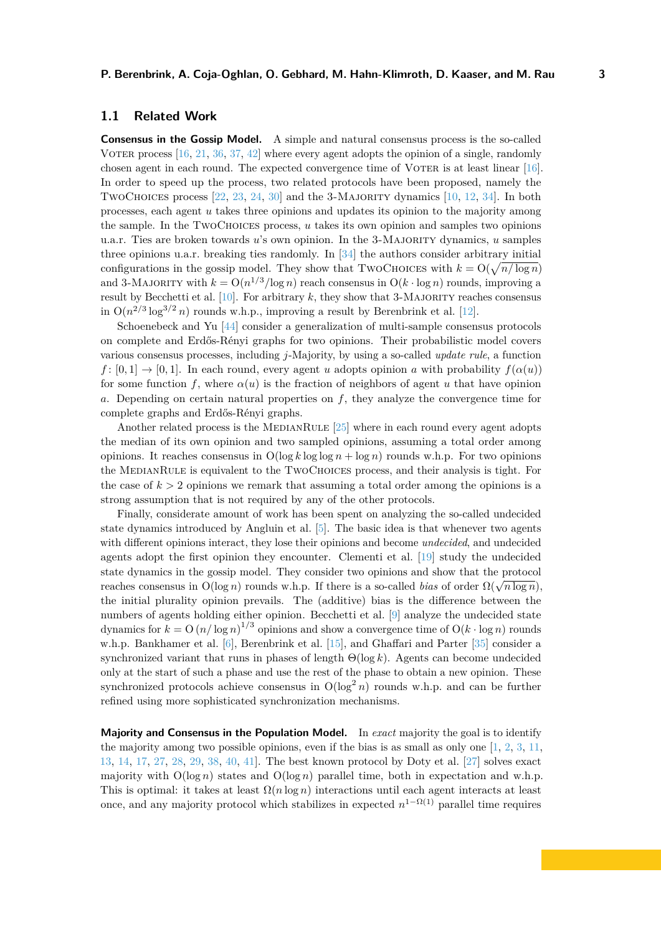**Consensus in the Gossip Model.** A simple and natural consensus process is the so-called VOTER process  $[16, 21, 36, 37, 42]$  $[16, 21, 36, 37, 42]$  $[16, 21, 36, 37, 42]$  $[16, 21, 36, 37, 42]$  $[16, 21, 36, 37, 42]$  $[16, 21, 36, 37, 42]$  $[16, 21, 36, 37, 42]$  $[16, 21, 36, 37, 42]$  $[16, 21, 36, 37, 42]$  where every agent adopts the opinion of a single, randomly chosen agent in each round. The expected convergence time of VOTER is at least linear [\[16\]](#page-17-1). In order to speed up the process, two related protocols have been proposed, namely the TWOCHOICES process [\[22,](#page-17-2) [23,](#page-17-4) [24,](#page-17-5) [30\]](#page-18-4) and the 3-MAJORITY dynamics [\[10,](#page-16-1) [12,](#page-16-2) [34\]](#page-18-0). In both processes, each agent *u* takes three opinions and updates its opinion to the majority among the sample. In the TwoChoices process, *u* takes its own opinion and samples two opinions u.a.r. Ties are broken towards *u*'s own opinion. In the 3-Majority dynamics, *u* samples three opinions u.a.r. breaking ties randomly. In  $[34]$  the authors consider arbitrary initial configurations in the gossip model. They show that TWOCHOICES with  $k = O(\sqrt{n/\log n})$ and 3-MAJORITY with  $k = O(n^{1/3}/\log n)$  reach consensus in  $O(k \cdot \log n)$  rounds, improving a result by Becchetti et al.  $[10]$ . For arbitrary  $k$ , they show that 3-MAJORITY reaches consensus in  $O(n^{2/3} \log^{3/2} n)$  rounds w.h.p., improving a result by Berenbrink et al. [\[12\]](#page-16-2).

Schoenebeck and Yu [\[44\]](#page-19-1) consider a generalization of multi-sample consensus protocols on complete and Erdős-Rényi graphs for two opinions. Their probabilistic model covers various consensus processes, including *j*-Majority, by using a so-called *update rule*, a function  $f: [0, 1] \rightarrow [0, 1]$ . In each round, every agent *u* adopts opinion *a* with probability  $f(\alpha(u))$ for some function f, where  $\alpha(u)$  is the fraction of neighbors of agent u that have opinion *a*. Depending on certain natural properties on *f*, they analyze the convergence time for complete graphs and Erdős-Rényi graphs.

Another related process is the MEDIANRULE  $[25]$  where in each round every agent adopts the median of its own opinion and two sampled opinions, assuming a total order among opinions. It reaches consensus in  $O(\log k \log \log n + \log n)$  rounds w.h.p. For two opinions the MedianRule is equivalent to the TwoChoices process, and their analysis is tight. For the case of  $k > 2$  opinions we remark that assuming a total order among the opinions is a strong assumption that is not required by any of the other protocols.

Finally, considerate amount of work has been spent on analyzing the so-called undecided state dynamics introduced by Angluin et al. [\[5\]](#page-16-5). The basic idea is that whenever two agents with different opinions interact, they lose their opinions and become *undecided*, and undecided agents adopt the first opinion they encounter. Clementi et al. [\[19\]](#page-17-7) study the undecided state dynamics in the gossip model. They consider two opinions and show that the protocol reaches consensus in  $O(\log n)$  rounds w.h.p. If there is a so-called *bias* of order  $\Omega(\sqrt{n \log n})$ , the initial plurality opinion prevails. The (additive) bias is the difference between the numbers of agents holding either opinion. Becchetti et al. [\[9\]](#page-16-3) analyze the undecided state dynamics for  $k = O(n/\log n)^{1/3}$  opinions and show a convergence time of  $O(k \cdot \log n)$  rounds w.h.p. Bankhamer et al. [\[6\]](#page-16-6), Berenbrink et al. [\[15\]](#page-17-8), and Ghaffari and Parter [\[35\]](#page-18-5) consider a synchronized variant that runs in phases of length Θ(log *k*). Agents can become undecided only at the start of such a phase and use the rest of the phase to obtain a new opinion. These synchronized protocols achieve consensus in  $O(\log^2 n)$  rounds w.h.p. and can be further refined using more sophisticated synchronization mechanisms.

**Majority and Consensus in the Population Model.** In *exact* majority the goal is to identify the majority among two possible opinions, even if the bias is as small as only one [\[1,](#page-16-7) [2,](#page-16-8) [3,](#page-16-9) [11,](#page-16-10) [13,](#page-16-11) [14,](#page-17-9) [17,](#page-17-10) [27,](#page-18-6) [28,](#page-18-7) [29,](#page-18-8) [38,](#page-18-9) [40,](#page-18-10) [41\]](#page-19-2). The best known protocol by Doty et al. [\[27\]](#page-18-6) solves exact majority with  $O(\log n)$  states and  $O(\log n)$  parallel time, both in expectation and w.h.p. This is optimal: it takes at least  $\Omega(n \log n)$  interactions until each agent interacts at least once, and any majority protocol which stabilizes in expected  $n^{1-\Omega(1)}$  parallel time requires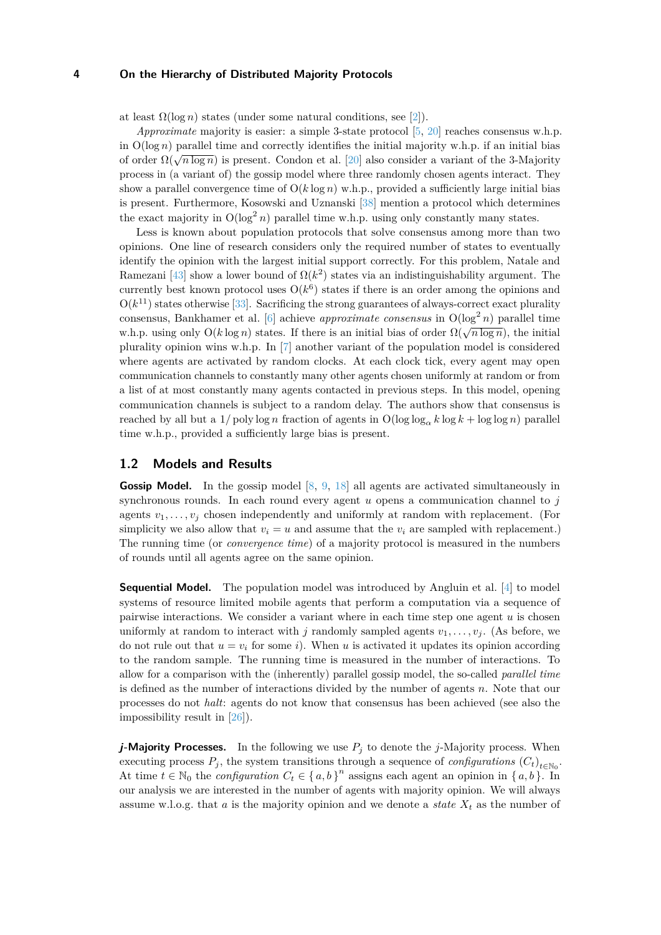at least  $\Omega(\log n)$  states (under some natural conditions, see [\[2\]](#page-16-8)).

*Approximate* majority is easier: a simple 3-state protocol [\[5,](#page-16-5) [20\]](#page-17-11) reaches consensus w.h.p. in  $O(\log n)$  parallel time and correctly identifies the initial majority w.h.p. if an initial bias of order  $\Omega(\sqrt{n \log n})$  is present. Condon et al. [\[20\]](#page-17-11) also consider a variant of the 3-Majority process in (a variant of) the gossip model where three randomly chosen agents interact. They show a parallel convergence time of  $O(k \log n)$  w.h.p., provided a sufficiently large initial bias is present. Furthermore, Kosowski and Uznanski [\[38\]](#page-18-9) mention a protocol which determines the exact majority in  $O(\log^2 n)$  parallel time w.h.p. using only constantly many states.

Less is known about population protocols that solve consensus among more than two opinions. One line of research considers only the required number of states to eventually identify the opinion with the largest initial support correctly. For this problem, Natale and Ramezani [\[43\]](#page-19-3) show a lower bound of  $\Omega(k^2)$  states via an indistinguishability argument. The currently best known protocol uses  $O(k^6)$  states if there is an order among the opinions and  $O(k^{11})$  states otherwise [\[33\]](#page-18-11). Sacrificing the strong guarantees of always-correct exact plurality consensus, Bankhamer et al. [\[6\]](#page-16-6) achieve *approximate consensus* in  $O(\log^2 n)$  parallel time w.h.p. using only  $O(k \log n)$  states. If there is an initial bias of order  $\Omega(\sqrt{n \log n})$ , the initial w.h.p. plurality opinion wins w.h.p. In [\[7\]](#page-16-12) another variant of the population model is considered where agents are activated by random clocks. At each clock tick, every agent may open communication channels to constantly many other agents chosen uniformly at random or from a list of at most constantly many agents contacted in previous steps. In this model, opening communication channels is subject to a random delay. The authors show that consensus is reached by all but a  $1/poly \log n$  fraction of agents in  $O(log \log_{\alpha} k \log k + log \log n)$  parallel time w.h.p., provided a sufficiently large bias is present.

#### **1.2 Models and Results**

**Gossip Model.** In the gossip model [\[8,](#page-16-0) [9,](#page-16-3) [18\]](#page-17-0) all agents are activated simultaneously in synchronous rounds. In each round every agent *u* opens a communication channel to *j* agents  $v_1, \ldots, v_j$  chosen independently and uniformly at random with replacement. (For simplicity we also allow that  $v_i = u$  and assume that the  $v_i$  are sampled with replacement.) The running time (or *convergence time*) of a majority protocol is measured in the numbers of rounds until all agents agree on the same opinion.

**Sequential Model.** The population model was introduced by Angluin et al. [\[4\]](#page-16-4) to model systems of resource limited mobile agents that perform a computation via a sequence of pairwise interactions. We consider a variant where in each time step one agent *u* is chosen uniformly at random to interact with *j* randomly sampled agents  $v_1, \ldots, v_i$ . (As before, we do not rule out that  $u = v_i$  for some *i*). When *u* is activated it updates its opinion according to the random sample. The running time is measured in the number of interactions. To allow for a comparison with the (inherently) parallel gossip model, the so-called *parallel time* is defined as the number of interactions divided by the number of agents *n*. Note that our processes do not *halt*: agents do not know that consensus has been achieved (see also the impossibility result in [\[26\]](#page-18-12)).

*j***-Majority Processes.** In the following we use  $P_j$  to denote the *j*-Majority process. When executing process  $P_j$ , the system transitions through a sequence of *configurations*  $(C_t)_{t \in \mathbb{N}_0}$ . At time  $t \in \mathbb{N}_0$  the *configuration*  $C_t \in \{a, b\}^n$  assigns each agent an opinion in  $\{a, b\}$ . In our analysis we are interested in the number of agents with majority opinion. We will always assume w.l.o.g. that  $a$  is the majority opinion and we denote a *state*  $X_t$  as the number of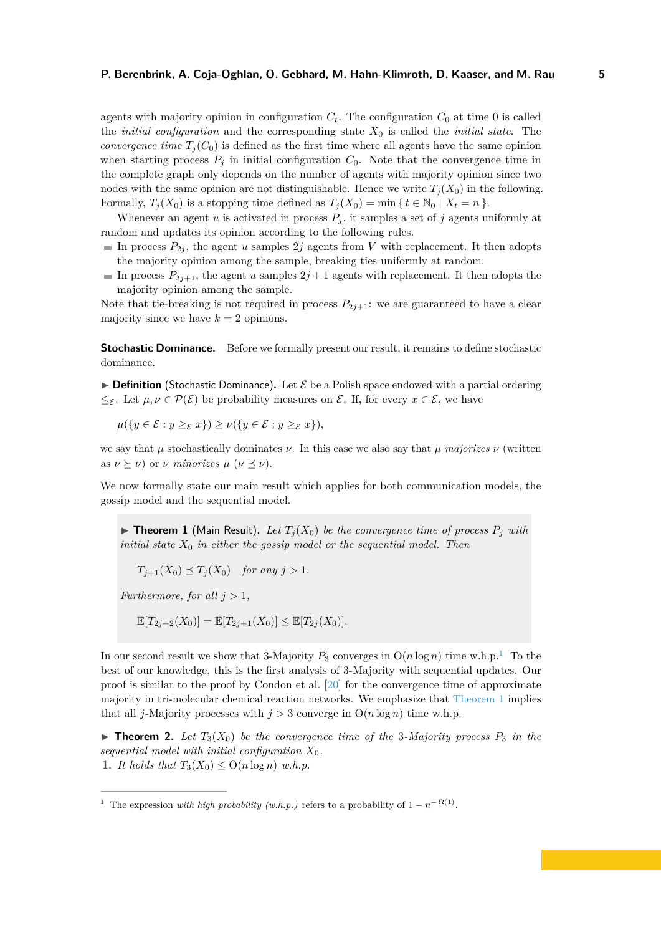agents with majority opinion in configuration  $C_t$ . The configuration  $C_0$  at time 0 is called the *initial configuration* and the corresponding state *X*<sup>0</sup> is called the *initial state*. The *convergence time*  $T_i(C_0)$  is defined as the first time where all agents have the same opinion when starting process  $P_j$  in initial configuration  $C_0$ . Note that the convergence time in the complete graph only depends on the number of agents with majority opinion since two nodes with the same opinion are not distinguishable. Hence we write  $T_i(X_0)$  in the following. Formally,  $T_j(X_0)$  is a stopping time defined as  $T_j(X_0) = \min\{t \in \mathbb{N}_0 \mid X_t = n\}.$ 

Whenever an agent  $u$  is activated in process  $P_j$ , it samples a set of  $j$  agents uniformly at random and updates its opinion according to the following rules.

- In process  $P_{2j}$ , the agent *u* samples 2*j* agents from *V* with replacement. It then adopts the majority opinion among the sample, breaking ties uniformly at random.
- In process  $P_{2j+1}$ , the agent *u* samples  $2j+1$  agents with replacement. It then adopts the majority opinion among the sample.

Note that tie-breaking is not required in process  $P_{2i+1}$ : we are guaranteed to have a clear majority since we have  $k = 2$  opinions.

**Stochastic Dominance.** Before we formally present our result, it remains to define stochastic dominance.

 $\triangleright$  **Definition** (Stochastic Dominance). Let  $\mathcal{E}$  be a Polish space endowed with a partial ordering  $\leq_{\mathcal{E}}$ . Let  $\mu, \nu \in \mathcal{P}(\mathcal{E})$  be probability measures on  $\mathcal{E}$ . If, for every  $x \in \mathcal{E}$ , we have

$$
\mu({y \in \mathcal{E} : y \geq_{\mathcal{E}} x}) \geq \nu({y \in \mathcal{E} : y \geq_{\mathcal{E}} x}),
$$

we say that  $\mu$  stochastically dominates  $\nu$ . In this case we also say that  $\mu$  *majorizes*  $\nu$  (written as  $\nu \succeq \nu$ ) or  $\nu$  *minorizes*  $\mu$  ( $\nu \preceq \nu$ ).

We now formally state our main result which applies for both communication models, the gossip model and the sequential model.

<span id="page-4-1"></span> $\triangleright$  **Theorem 1** (Main Result). Let  $T_i(X_0)$  be the convergence time of process  $P_j$  with *initial state X*<sup>0</sup> *in either the gossip model or the sequential model. Then*

$$
T_{j+1}(X_0) \preceq T_j(X_0) \quad \text{for any } j > 1.
$$

*Furthermore, for all*  $j > 1$ *,* 

$$
\mathbb{E}[T_{2j+2}(X_0)] = \mathbb{E}[T_{2j+1}(X_0)] \le \mathbb{E}[T_{2j}(X_0)].
$$

In our second result we show that 3-Majority  $P_3$  converges in  $O(n \log n)$  time w.h.p.<sup>[1](#page-4-0)</sup> To the best of our knowledge, this is the first analysis of 3-Majority with sequential updates. Our proof is similar to the proof by Condon et al. [\[20\]](#page-17-11) for the convergence time of approximate majority in tri-molecular chemical reaction networks. We emphasize that [Theorem 1](#page-4-1) implies that all *j*-Majority processes with  $j > 3$  converge in  $O(n \log n)$  time w.h.p.

<span id="page-4-2"></span> $\triangleright$  **Theorem 2.** Let  $T_3(X_0)$  be the convergence time of the 3-Majority process  $P_3$  in the *sequential model with initial configuration*  $X_0$ . 1. *It holds that*  $T_3(X_0) \leq O(n \log n)$  *w.h.p.* 

<span id="page-4-0"></span><sup>&</sup>lt;sup>1</sup> The expression *with high probability (w.h.p.)* refers to a probability of  $1 - n^{-\Omega(1)}$ .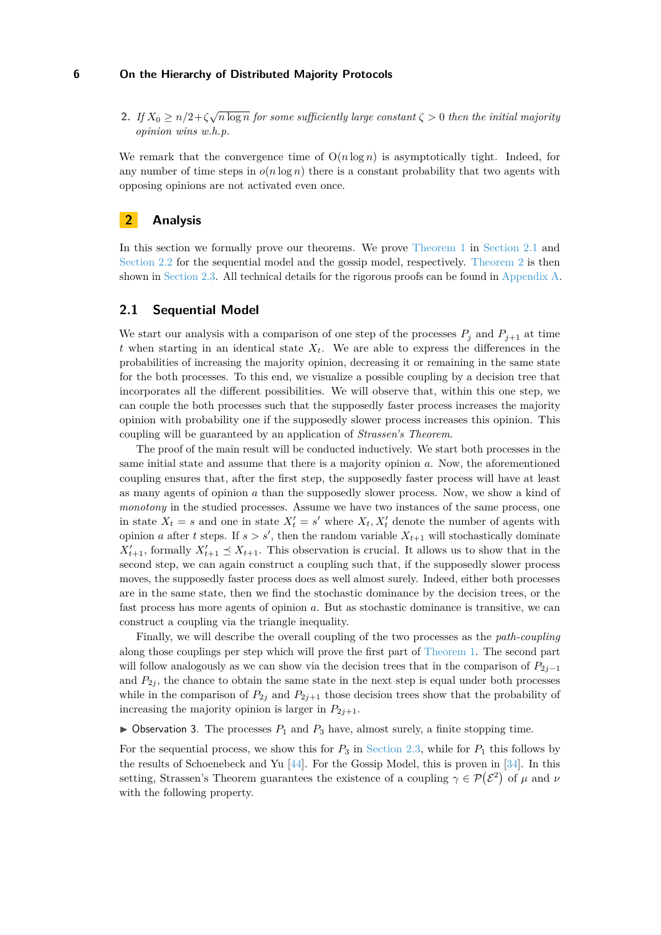**2.** *If*  $X_0 \ge n/2 + \zeta \sqrt{n \log n}$  for some sufficiently large constant  $\zeta > 0$  then the initial majority *opinion wins w.h.p.*

We remark that the convergence time of  $O(n \log n)$  is asymptotically tight. Indeed, for any number of time steps in  $o(n \log n)$  there is a constant probability that two agents with opposing opinions are not activated even once.

### **2 Analysis**

In this section we formally prove our theorems. We prove [Theorem 1](#page-4-1) in [Section 2.1](#page-5-0) and [Section 2.2](#page-8-0) for the sequential model and the gossip model, respectively. [Theorem 2](#page-4-2) is then shown in [Section 2.3.](#page-10-0) All technical details for the rigorous proofs can be found in [Appendix A.](#page-20-0)

### <span id="page-5-0"></span>**2.1 Sequential Model**

We start our analysis with a comparison of one step of the processes  $P_j$  and  $P_{j+1}$  at time *t* when starting in an identical state *Xt*. We are able to express the differences in the probabilities of increasing the majority opinion, decreasing it or remaining in the same state for the both processes. To this end, we visualize a possible coupling by a decision tree that incorporates all the different possibilities. We will observe that, within this one step, we can couple the both processes such that the supposedly faster process increases the majority opinion with probability one if the supposedly slower process increases this opinion. This coupling will be guaranteed by an application of *Strassen's Theorem*.

The proof of the main result will be conducted inductively. We start both processes in the same initial state and assume that there is a majority opinion *a*. Now, the aforementioned coupling ensures that, after the first step, the supposedly faster process will have at least as many agents of opinion *a* than the supposedly slower process. Now, we show a kind of *monotony* in the studied processes. Assume we have two instances of the same process, one in state  $X_t = s$  and one in state  $X'_t = s'$  where  $X_t, X'_t$  denote the number of agents with opinion *a* after *t* steps. If  $s > s'$ , then the random variable  $X_{t+1}$  will stochastically dominate  $X'_{t+1}$ , formally  $X'_{t+1} \preceq X_{t+1}$ . This observation is crucial. It allows us to show that in the second step, we can again construct a coupling such that, if the supposedly slower process moves, the supposedly faster process does as well almost surely. Indeed, either both processes are in the same state, then we find the stochastic dominance by the decision trees, or the fast process has more agents of opinion *a*. But as stochastic dominance is transitive, we can construct a coupling via the triangle inequality.

Finally, we will describe the overall coupling of the two processes as the *path-coupling* along those couplings per step which will prove the first part of [Theorem 1.](#page-4-1) The second part will follow analogously as we can show via the decision trees that in the comparison of  $P_{2i-1}$ and  $P_{2j}$ , the chance to obtain the same state in the next step is equal under both processes while in the comparison of  $P_{2j}$  and  $P_{2j+1}$  those decision trees show that the probability of increasing the majority opinion is larger in  $P_{2j+1}$ .

 $\triangleright$  Observation 3. The processes  $P_1$  and  $P_3$  have, almost surely, a finite stopping time.

<span id="page-5-1"></span>For the sequential process, we show this for  $P_3$  in [Section 2.3,](#page-10-0) while for  $P_1$  this follows by the results of Schoenebeck and Yu [\[44\]](#page-19-1). For the Gossip Model, this is proven in [\[34\]](#page-18-0). In this setting, Strassen's Theorem guarantees the existence of a coupling  $\gamma \in \mathcal{P}(\mathcal{E}^2)$  of  $\mu$  and  $\nu$ with the following property.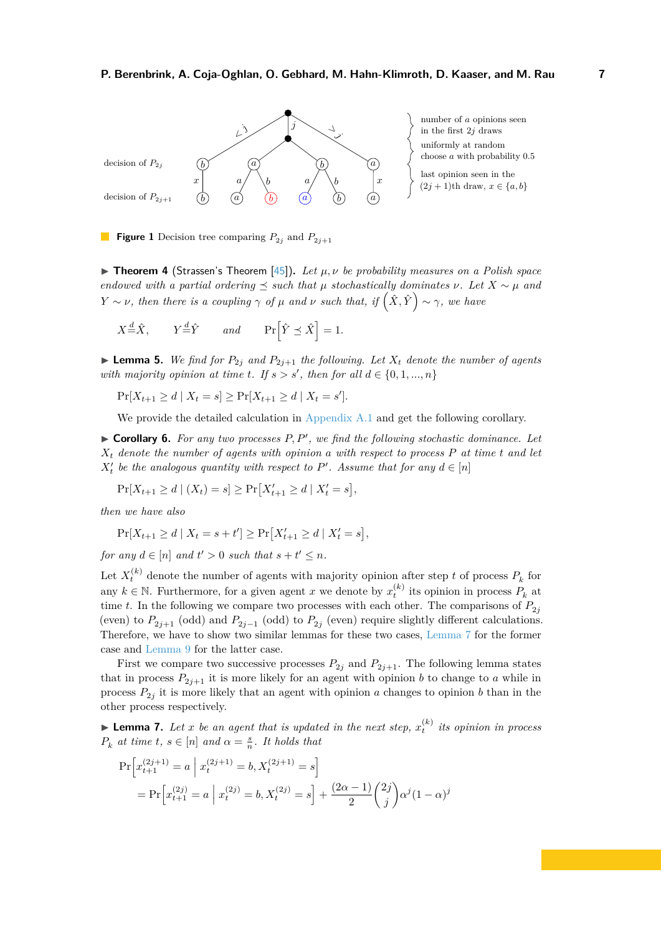<span id="page-6-1"></span>

number of *a* opinions seen in the first  $2j$  draws uniformly at random choose *a* with probability 0*.*5 last opinion seen in the

**Figure 1** Decision tree comparing  $P_{2i}$  and  $P_{2i+1}$ 

**Figure 1 I** (Strassen's Theorem [\[45\]](#page-19-4)). Let  $\mu, \nu$  be probability measures on a Polish space *endowed with a partial ordering*  $\leq$  *such that*  $\mu$  *stochastically dominates*  $\nu$ *. Let*  $X \sim \mu$  *and Y* ∼ *ν,* then there is a coupling  $\gamma$  *of*  $\mu$  *and*  $\nu$  *such that, if*  $(\hat{X}, \hat{Y}) \sim \gamma$ *, we have* 

$$
X \stackrel{d}{=} \hat{X}, \qquad Y \stackrel{d}{=} \hat{Y} \qquad and \qquad \Pr\left[\hat{Y} \preceq \hat{X}\right] = 1.
$$

<span id="page-6-3"></span> $\blacktriangleright$  **Lemma 5.** We find for  $P_{2j}$  and  $P_{2j+1}$  the following. Let  $X_t$  denote the number of agents *with majority opinion at time t. If*  $s > s'$ , *then for all*  $d \in \{0, 1, ..., n\}$ 

$$
\Pr[X_{t+1} \ge d \mid X_t = s] \ge \Pr[X_{t+1} \ge d \mid X_t = s'].
$$

We provide the detailed calculation in [Appendix A.1](#page-20-1) and get the following corollary.

<span id="page-6-2"></span> $\triangleright$  **Corollary 6.** For any two processes  $P, P'$ , we find the following stochastic dominance. Let *X<sup>t</sup> denote the number of agents with opinion a with respect to process P at time t and let*  $X_t$  be the analogous quantity with respect to  $P'$ . Assume that for any  $d \in [n]$ 

$$
\Pr[X_{t+1} \ge d \mid (X_t) = s] \ge \Pr[X'_{t+1} \ge d \mid X'_t = s],
$$

*then we have also*

$$
\Pr[X_{t+1} \ge d \mid X_t = s + t'] \ge \Pr[X'_{t+1} \ge d \mid X'_t = s],
$$

*for any*  $d \in [n]$  *and*  $t' > 0$  *such that*  $s + t' \leq n$ *.* 

Let  $X_t^{(k)}$  denote the number of agents with majority opinion after step *t* of process  $P_k$  for any  $k \in \mathbb{N}$ . Furthermore, for a given agent *x* we denote by  $x_t^{(k)}$  its opinion in process  $P_k$  at time *t*. In the following we compare two processes with each other. The comparisons of  $P_{2j}$ (even) to  $P_{2j+1}$  (odd) and  $P_{2j-1}$  (odd) to  $P_{2j}$  (even) require slightly different calculations. Therefore, we have to show two similar lemmas for these two cases, [Lemma 7](#page-6-0) for the former case and [Lemma 9](#page-7-0) for the latter case.

First we compare two successive processes  $P_{2j}$  and  $P_{2j+1}$ . The following lemma states that in process  $P_{2j+1}$  it is more likely for an agent with opinion *b* to change to *a* while in process  $P_{2j}$  it is more likely that an agent with opinion *a* changes to opinion *b* than in the other process respectively.

<span id="page-6-0"></span>**Example 7.** Let *x* be an agent that is updated in the next step,  $x_t^{(k)}$  its opinion in process  $P_k$  *at time*  $t, s \in [n]$  *and*  $\alpha = \frac{s}{n}$ *. It holds that* 

$$
\Pr\left[x_{t+1}^{(2j+1)} = a \mid x_t^{(2j+1)} = b, X_t^{(2j+1)} = s\right]
$$
  
= 
$$
\Pr\left[x_{t+1}^{(2j)} = a \mid x_t^{(2j)} = b, X_t^{(2j)} = s\right] + \frac{(2\alpha - 1)}{2} {2j \choose j} \alpha^j (1 - \alpha)^j
$$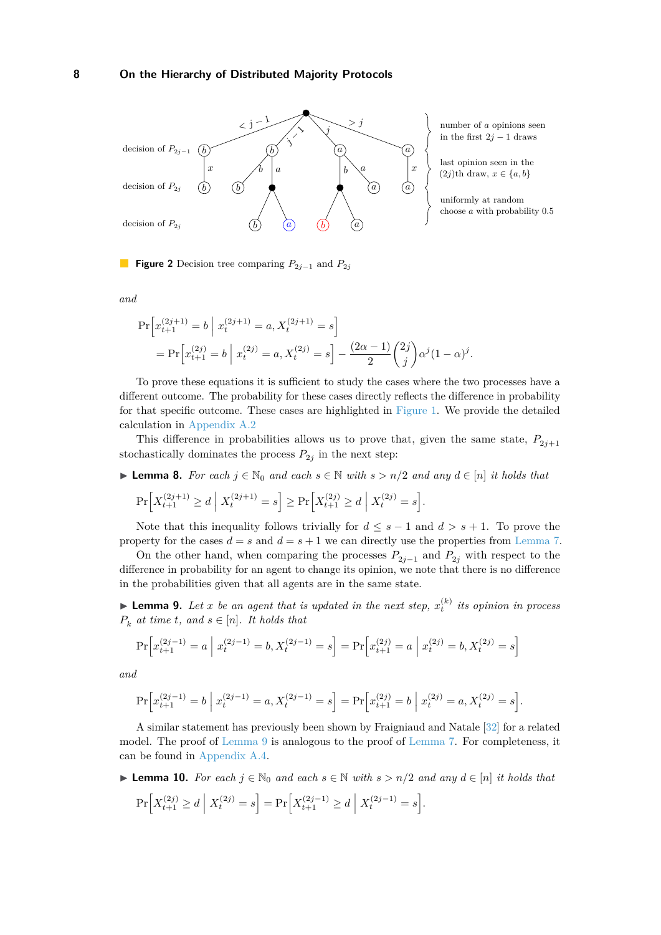<span id="page-7-3"></span>

number of *a* opinions seen in the first  $2j - 1$  draws

last opinion seen in the  $(2j)$ th draw,  $x \in \{a, b\}$ 

uniformly at random choose *a* with probability 0*.*5

**Figure 2** Decision tree comparing *P*2*j*−<sup>1</sup> and *P*2*<sup>j</sup>*

*and*

$$
\Pr\left[x_{t+1}^{(2j+1)} = b \middle| x_t^{(2j+1)} = a, X_t^{(2j+1)} = s\right]
$$
  
= 
$$
\Pr\left[x_{t+1}^{(2j)} = b \middle| x_t^{(2j)} = a, X_t^{(2j)} = s\right] - \frac{(2\alpha - 1)}{2} {2j \choose j} \alpha^j (1 - \alpha)^j.
$$

To prove these equations it is sufficient to study the cases where the two processes have a different outcome. The probability for these cases directly reflects the difference in probability for that specific outcome. These cases are highlighted in [Figure 1.](#page-6-1) We provide the detailed calculation in [Appendix A.2](#page-21-0)

This difference in probabilities allows us to prove that, given the same state,  $P_{2j+1}$ stochastically dominates the process  $P_{2j}$  in the next step:

<span id="page-7-1"></span>► **Lemma 8.** *For each*  $j \in \mathbb{N}_0$  *and each*  $s \in \mathbb{N}$  *with*  $s > n/2$  *and any*  $d \in [n]$  *it holds that* 

$$
\Pr\Big[X_{t+1}^{(2j+1)} \ge d \; \Big| \; X_t^{(2j+1)} = s\Big] \ge \Pr\Big[X_{t+1}^{(2j)} \ge d \; \Big| \; X_t^{(2j)} = s\Big].
$$

Note that this inequality follows trivially for  $d \leq s - 1$  and  $d > s + 1$ . To prove the property for the cases  $d = s$  and  $d = s + 1$  we can directly use the properties from [Lemma 7.](#page-6-0)

On the other hand, when comparing the processes  $P_{2j-1}$  and  $P_{2j}$  with respect to the difference in probability for an agent to change its opinion, we note that there is no difference in the probabilities given that all agents are in the same state.

<span id="page-7-0"></span>**Example 10.** Let *x* be an agent that is updated in the next step,  $x_t^{(k)}$  its opinion in process  $P_k$  *at time t, and*  $s \in [n]$ *. It holds that* 

$$
\Pr\left[x_{t+1}^{(2j-1)} = a \mid x_t^{(2j-1)} = b, X_t^{(2j-1)} = s\right] = \Pr\left[x_{t+1}^{(2j)} = a \mid x_t^{(2j)} = b, X_t^{(2j)} = s\right]
$$

*and*

$$
\Pr\left[x_{t+1}^{(2j-1)} = b \mid x_t^{(2j-1)} = a, X_t^{(2j-1)} = s\right] = \Pr\left[x_{t+1}^{(2j)} = b \mid x_t^{(2j)} = a, X_t^{(2j)} = s\right].
$$

A similar statement has previously been shown by Fraigniaud and Natale [\[32\]](#page-18-1) for a related model. The proof of [Lemma 9](#page-7-0) is analogous to the proof of [Lemma 7.](#page-6-0) For completeness, it can be found in [Appendix A.4.](#page-24-0)

- <span id="page-7-2"></span>► **Lemma 10.** *For each*  $j \in \mathbb{N}_0$  *and each*  $s \in \mathbb{N}$  *with*  $s > n/2$  *and any*  $d \in [n]$  *it holds that* 
	- $\Pr\left[X_{t+1}^{(2j)} \ge d \mid X_t^{(2j)} = s\right] = \Pr\left[X_{t+1}^{(2j-1)} \ge d \mid X_t^{(2j-1)} = s\right].$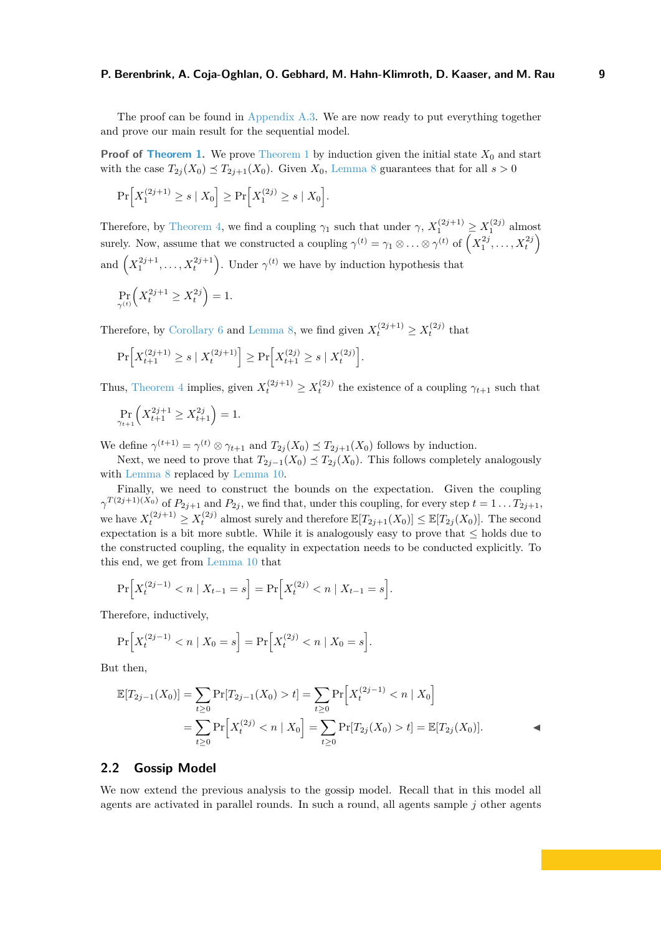The proof can be found in [Appendix A.3.](#page-23-0) We are now ready to put everything together and prove our main result for the sequential model.

**Proof of [Theorem 1.](#page-4-1)** We prove [Theorem 1](#page-4-1) by induction given the initial state  $X_0$  and start with the case  $T_{2j}(X_0) \preceq T_{2j+1}(X_0)$ . Given  $X_0$ , [Lemma 8](#page-7-1) guarantees that for all  $s > 0$ 

$$
\Pr\Big[X_1^{(2j+1)} \ge s \mid X_0\Big] \ge \Pr\Big[X_1^{(2j)} \ge s \mid X_0\Big].
$$

Therefore, by [Theorem 4,](#page-5-1) we find a coupling  $\gamma_1$  such that under  $\gamma$ ,  $X_1^{(2j+1)} \ge X_1^{(2j)}$  almost surely. Now, assume that we constructed a coupling  $\gamma^{(t)} = \gamma_1 \otimes \ldots \otimes \gamma^{(t)}$  of  $\left(X_1^{2j}, \ldots, X_t^{2j}\right)$ and  $(X_1^{2j+1}, \ldots, X_t^{2j+1})$ . Under  $\gamma^{(t)}$  we have by induction hypothesis that

$$
\Pr_{\gamma^{(t)}}\Bigl(X_t^{2j+1}\geq X_t^{2j}\Bigr)=1.
$$

Therefore, by [Corollary 6](#page-6-2) and [Lemma 8,](#page-7-1) we find given  $X_t^{(2j+1)} \ge X_t^{(2j)}$  that

$$
\Pr\left[X_{t+1}^{(2j+1)} \ge s \mid X_t^{(2j+1)}\right] \ge \Pr\left[X_{t+1}^{(2j)} \ge s \mid X_t^{(2j)}\right]
$$

Thus, [Theorem 4](#page-5-1) implies, given  $X_t^{(2j+1)} \geq X_t^{(2j)}$  the existence of a coupling  $\gamma_{t+1}$  such that

*.*

$$
\Pr_{\gamma_{t+1}} \left( X_{t+1}^{2j+1} \ge X_{t+1}^{2j} \right) = 1.
$$

We define  $\gamma^{(t+1)} = \gamma^{(t)} \otimes \gamma_{t+1}$  and  $T_{2j}(X_0) \preceq T_{2j+1}(X_0)$  follows by induction.

Next, we need to prove that  $T_{2j-1}(X_0) \preceq T_{2j}(X_0)$ . This follows completely analogously with [Lemma 8](#page-7-1) replaced by [Lemma 10.](#page-7-2)

Finally, we need to construct the bounds on the expectation. Given the coupling  $\gamma^{T(2j+1)(X_0)}$  of  $P_{2j+1}$  and  $P_{2j}$ , we find that, under this coupling, for every step  $t = 1 \dots T_{2j+1}$ , we have  $X_t^{(2j+1)} \ge X_t^{(2j)}$  almost surely and therefore  $\mathbb{E}[T_{2j+1}(X_0)] \le \mathbb{E}[T_{2j}(X_0)]$ . The second expectation is a bit more subtle. While it is analogously easy to prove that  $\leq$  holds due to the constructed coupling, the equality in expectation needs to be conducted explicitly. To this end, we get from [Lemma 10](#page-7-2) that

$$
\Pr\Big[X_t^{(2j-1)} < n \mid X_{t-1} = s\Big] = \Pr\Big[X_t^{(2j)} < n \mid X_{t-1} = s\Big].
$$

Therefore, inductively,

$$
\Pr\Big[X_t^{(2j-1)} < n \mid X_0 = s\Big] = \Pr\Big[X_t^{(2j)} < n \mid X_0 = s\Big].
$$

But then,

$$
\mathbb{E}[T_{2j-1}(X_0)] = \sum_{t \ge 0} \Pr[T_{2j-1}(X_0) > t] = \sum_{t \ge 0} \Pr[X_t^{(2j-1)} < n \mid X_0]
$$
\n
$$
= \sum_{t \ge 0} \Pr[X_t^{(2j)} < n \mid X_0] = \sum_{t \ge 0} \Pr[T_{2j}(X_0) > t] = \mathbb{E}[T_{2j}(X_0)].
$$

#### <span id="page-8-0"></span>**2.2 Gossip Model**

We now extend the previous analysis to the gossip model. Recall that in this model all agents are activated in parallel rounds. In such a round, all agents sample *j* other agents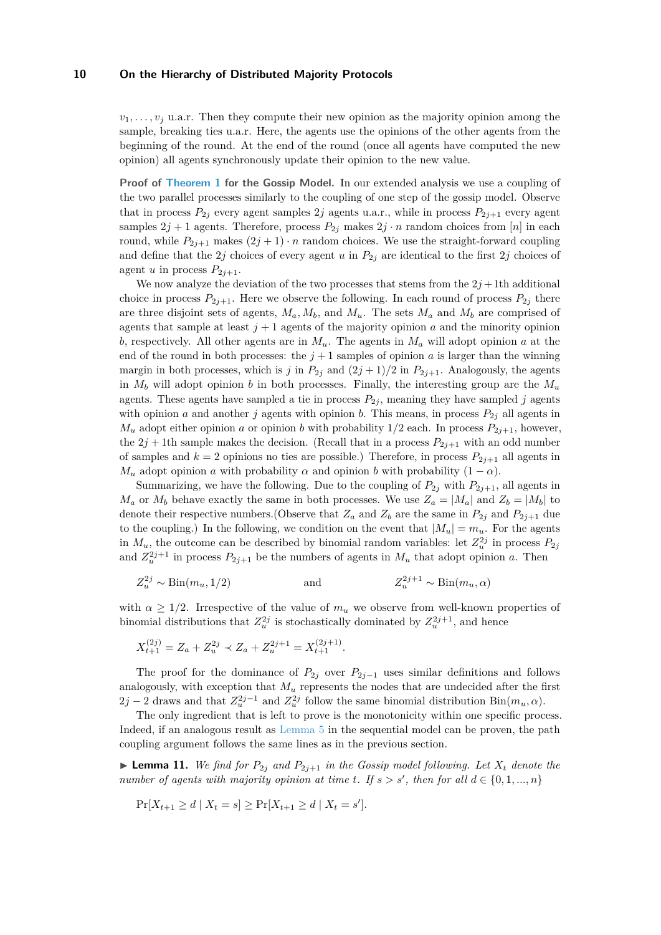$v_1, \ldots, v_j$  u.a.r. Then they compute their new opinion as the majority opinion among the sample, breaking ties u.a.r. Here, the agents use the opinions of the other agents from the beginning of the round. At the end of the round (once all agents have computed the new opinion) all agents synchronously update their opinion to the new value.

**Proof of [Theorem 1](#page-4-1) for the Gossip Model.** In our extended analysis we use a coupling of the two parallel processes similarly to the coupling of one step of the gossip model. Observe that in process  $P_{2j}$  every agent samples 2*j* agents u.a.r., while in process  $P_{2j+1}$  every agent samples  $2j + 1$  agents. Therefore, process  $P_{2j}$  makes  $2j \cdot n$  random choices from [*n*] in each round, while  $P_{2j+1}$  makes  $(2j+1) \cdot n$  random choices. We use the straight-forward coupling and define that the 2*j* choices of every agent *u* in  $P_{2j}$  are identical to the first 2*j* choices of agent *u* in process  $P_{2j+1}$ .

We now analyze the deviation of the two processes that stems from the  $2j+1$ th additional choice in process  $P_{2j+1}$ . Here we observe the following. In each round of process  $P_{2j}$  there are three disjoint sets of agents,  $M_a$ ,  $M_b$ , and  $M_u$ . The sets  $M_a$  and  $M_b$  are comprised of agents that sample at least  $j + 1$  agents of the majority opinion  $a$  and the minority opinion *b*, respectively. All other agents are in *Mu*. The agents in *M<sup>a</sup>* will adopt opinion *a* at the end of the round in both processes: the  $j+1$  samples of opinion  $a$  is larger than the winning margin in both processes, which is *j* in  $P_{2i}$  and  $(2j + 1)/2$  in  $P_{2i+1}$ . Analogously, the agents in  $M_b$  will adopt opinion *b* in both processes. Finally, the interesting group are the  $M_u$ agents. These agents have sampled a tie in process  $P_{2j}$ , meaning they have sampled *j* agents with opinion *a* and another *j* agents with opinion *b*. This means, in process  $P_{2j}$  all agents in  $M_u$  adopt either opinion *a* or opinion *b* with probability 1/2 each. In process  $P_{2j+1}$ , however, the  $2j + 1$ th sample makes the decision. (Recall that in a process  $P_{2j+1}$  with an odd number of samples and  $k = 2$  opinions no ties are possible.) Therefore, in process  $P_{2i+1}$  all agents in *M<sub>u</sub>* adopt opinion *a* with probability  $\alpha$  and opinion *b* with probability  $(1 - \alpha)$ .

Summarizing, we have the following. Due to the coupling of  $P_{2j}$  with  $P_{2j+1}$ , all agents in  $M_a$  or  $M_b$  behave exactly the same in both processes. We use  $Z_a = |M_a|$  and  $Z_b = |M_b|$  to denote their respective numbers. (Observe that  $Z_a$  and  $Z_b$  are the same in  $P_{2j}$  and  $P_{2j+1}$  due to the coupling.) In the following, we condition on the event that  $|M_u| = m_u$ . For the agents in  $M_u$ , the outcome can be described by binomial random variables: let  $Z_u^{2j}$  in process  $P_{2j}$ and  $Z_u^{2j+1}$  in process  $P_{2j+1}$  be the numbers of agents in  $M_u$  that adopt opinion *a*. Then

$$
Z_u^{2j} \sim \text{Bin}(m_u, 1/2) \qquad \text{and} \qquad Z_u^{2j+1} \sim \text{Bin}(m_u, \alpha)
$$

with  $\alpha \geq 1/2$ . Irrespective of the value of  $m_u$  we observe from well-known properties of binomial distributions that  $Z_u^{2j}$  is stochastically dominated by  $Z_u^{2j+1}$ , and hence

$$
X_{t+1}^{(2j)} = Z_a + Z_u^{2j} \prec Z_a + Z_u^{2j+1} = X_{t+1}^{(2j+1)}.
$$

The proof for the dominance of  $P_{2j}$  over  $P_{2j-1}$  uses similar definitions and follows analogously, with exception that  $M_u$  represents the nodes that are undecided after the first 2*j* − 2 draws and that  $Z_u^{2j-1}$  and  $Z_u^{2j}$  follow the same binomial distribution Bin( $m_u$ , α).

The only ingredient that is left to prove is the monotonicity within one specific process. Indeed, if an analogous result as [Lemma 5](#page-6-3) in the sequential model can be proven, the path coupling argument follows the same lines as in the previous section.

**Example 11.** We find for  $P_{2j}$  and  $P_{2j+1}$  in the Gossip model following. Let  $X_t$  denote the *number of agents with majority opinion at time t. If*  $s > s'$ , then for all  $d \in \{0, 1, ..., n\}$ 

$$
\Pr[X_{t+1} \ge d \mid X_t = s] \ge \Pr[X_{t+1} \ge d \mid X_t = s'].
$$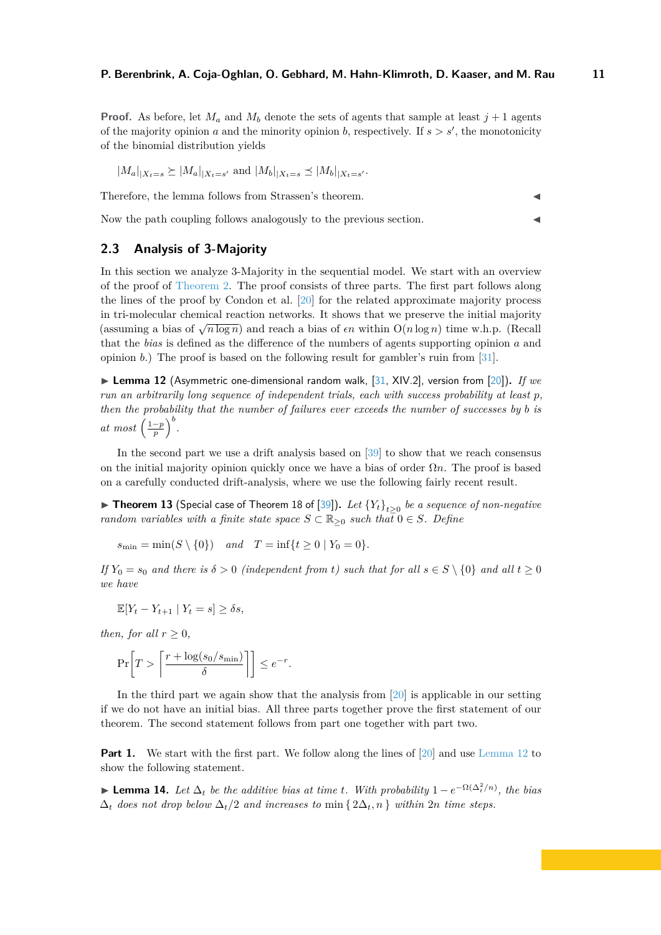**Proof.** As before, let  $M_a$  and  $M_b$  denote the sets of agents that sample at least  $j + 1$  agents of the majority opinion *a* and the minority opinion *b*, respectively. If  $s > s'$ , the monotonicity of the binomial distribution yields

$$
|M_a|_{|X_t=s} \ge |M_a|_{|X_t=s'}
$$
 and  $|M_b|_{|X_t=s} \le |M_b|_{|X_t=s'}$ .

Therefore, the lemma follows from Strassen's theorem.

Now the path coupling follows analogously to the previous section.

### <span id="page-10-0"></span>**2.3 Analysis of 3-Majority**

In this section we analyze 3-Majority in the sequential model. We start with an overview of the proof of [Theorem 2.](#page-4-2) The proof consists of three parts. The first part follows along the lines of the proof by Condon et al. [\[20\]](#page-17-11) for the related approximate majority process in tri-molecular chemical reaction networks. It shows that we preserve the initial majority (assuming a bias of  $\sqrt{n \log n}$ ) and reach a bias of  $\epsilon n$  within  $O(n \log n)$  time w.h.p. (Recall that the *bias* is defined as the difference of the numbers of agents supporting opinion *a* and opinion *b*.) The proof is based on the following result for gambler's ruin from [\[31\]](#page-18-13).

<span id="page-10-1"></span>▶ Lemma 12 (Asymmetric one-dimensional random walk, [\[31,](#page-18-13) XIV.2], version from [\[20\]](#page-17-11)). *If we run an arbitrarily long sequence of independent trials, each with success probability at least p, then the probability that the number of failures ever exceeds the number of successes by b is at most*  $\left(\frac{1-p}{p}\right)^b$ .

In the second part we use a drift analysis based on [\[39\]](#page-18-14) to show that we reach consensus on the initial majority opinion quickly once we have a bias of order Ω*n*. The proof is based on a carefully conducted drift-analysis, where we use the following fairly recent result.

<span id="page-10-3"></span>▶ Theorem 13 (Special case of Theorem 18 of [\[39\]](#page-18-14)). Let  ${Y_t}_{t\geq0}$  be a sequence of non-negative *random variables with a finite state space*  $S \subset \mathbb{R}_{\geq 0}$  *such that*  $0 \in S$ *. Define* 

$$
s_{\min} = \min(S \setminus \{0\})
$$
 and  $T = \inf\{t \ge 0 \mid Y_0 = 0\}.$ 

*If*  $Y_0 = s_0$  *and there is*  $\delta > 0$  *(independent from t) such that for all*  $s \in S \setminus \{0\}$  *and all*  $t > 0$ *we have*

$$
\mathbb{E}[Y_t - Y_{t+1} | Y_t = s] \ge \delta s,
$$

*then, for all*  $r \geq 0$ *,* 

$$
\Pr\bigg[T > \left\lceil \frac{r + \log(s_0/s_{\min})}{\delta} \right\rceil \bigg] \le e^{-r}.
$$

In the third part we again show that the analysis from [\[20\]](#page-17-11) is applicable in our setting if we do not have an initial bias. All three parts together prove the first statement of our theorem. The second statement follows from part one together with part two.

**Part 1.** We start with the first part. We follow along the lines of [\[20\]](#page-17-11) and use [Lemma 12](#page-10-1) to show the following statement.

<span id="page-10-2"></span>► **Lemma 14.** Let  $\Delta_t$  be the additive bias at time t. With probability  $1 - e^{-\Omega(\Delta_t^2/n)}$ , the bias  $\Delta_t$  *does not drop below*  $\Delta_t/2$  *and increases to* min {  $2\Delta_t, n$  } *within* 2*n time steps.*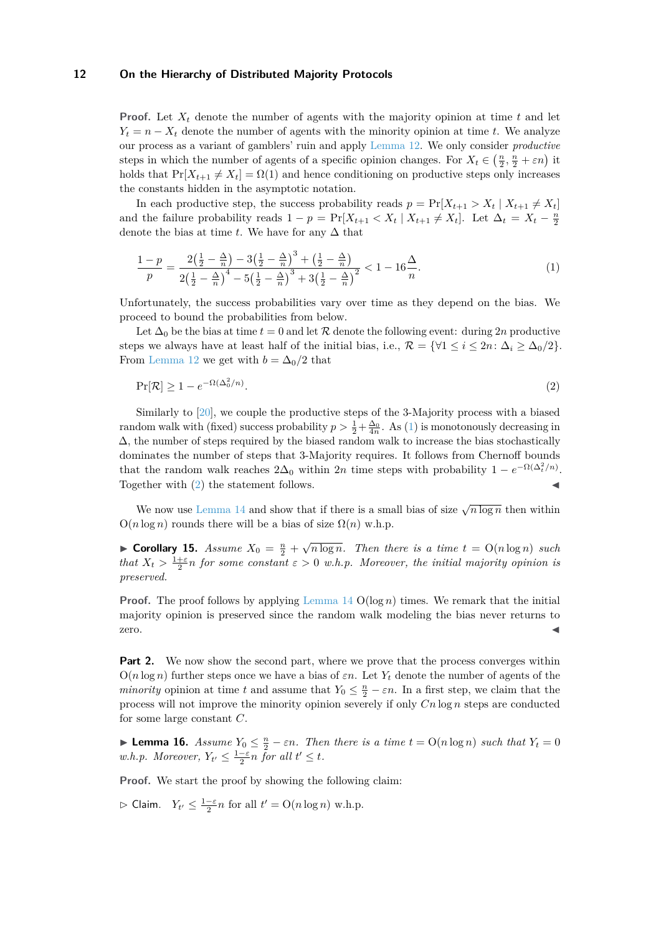**Proof.** Let  $X_t$  denote the number of agents with the majority opinion at time  $t$  and let  $Y_t = n - X_t$  denote the number of agents with the minority opinion at time *t*. We analyze our process as a variant of gamblers' ruin and apply [Lemma 12.](#page-10-1) We only consider *productive* steps in which the number of agents of a specific opinion changes. For  $X_t \in (\frac{n}{2}, \frac{n}{2} + \varepsilon n)$  it holds that  $Pr[X_{t+1} \neq X_t] = \Omega(1)$  and hence conditioning on productive steps only increases the constants hidden in the asymptotic notation.

In each productive step, the success probability reads  $p = \Pr[X_{t+1} > X_t | X_{t+1} \neq X_t]$ and the failure probability reads  $1 - p = \Pr[X_{t+1} < X_t \mid X_{t+1} \neq X_t]$ . Let  $\Delta_t = X_t - \frac{n}{2}$ denote the bias at time *t*. We have for any  $\Delta$  that

<span id="page-11-0"></span>
$$
\frac{1-p}{p} = \frac{2\left(\frac{1}{2} - \frac{\Delta}{n}\right) - 3\left(\frac{1}{2} - \frac{\Delta}{n}\right)^3 + \left(\frac{1}{2} - \frac{\Delta}{n}\right)}{2\left(\frac{1}{2} - \frac{\Delta}{n}\right)^4 - 5\left(\frac{1}{2} - \frac{\Delta}{n}\right)^3 + 3\left(\frac{1}{2} - \frac{\Delta}{n}\right)^2} < 1 - 16\frac{\Delta}{n}.
$$
\n(1)

Unfortunately, the success probabilities vary over time as they depend on the bias. We proceed to bound the probabilities from below.

Let  $\Delta_0$  be the bias at time  $t = 0$  and let  $\mathcal R$  denote the following event: during 2*n* productive steps we always have at least half of the initial bias, i.e.,  $\mathcal{R} = \{ \forall 1 \leq i \leq 2n : \Delta_i \geq \Delta_0/2 \}.$ From [Lemma 12](#page-10-1) we get with  $b = \Delta_0/2$  that

<span id="page-11-1"></span>
$$
\Pr[\mathcal{R}] \ge 1 - e^{-\Omega(\Delta_0^2/n)}.\tag{2}
$$

Similarly to [\[20\]](#page-17-11), we couple the productive steps of the 3-Majority process with a biased random walk with (fixed) success probability  $p > \frac{1}{2} + \frac{\Delta_0}{4n}$ . As [\(1\)](#page-11-0) is monotonously decreasing in  $\Delta$ , the number of steps required by the biased random walk to increase the bias stochastically dominates the number of steps that 3-Majority requires. It follows from Chernoff bounds that the random walk reaches  $2\Delta_0$  within 2*n* time steps with probability  $1 - e^{-\Omega(\Delta_t^2/n)}$ . Together with  $(2)$  the statement follows.

We now use [Lemma 14](#page-10-2) and show that if there is a small bias of size  $\sqrt{n \log n}$  then within  $O(n \log n)$  rounds there will be a bias of size  $\Omega(n)$  w.h.p.

<span id="page-11-2"></span>► **Corollary 15.** *Assume*  $X_0 = \frac{n}{2} + \sqrt{n \log n}$ . *Then there is a time*  $t = O(n \log n)$  *such that*  $X_t > \frac{1+\varepsilon}{2}$  *n for some constant*  $\varepsilon > 0$  *w.h.p. Moreover, the initial majority opinion is preserved.*

**Proof.** The proof follows by applying [Lemma 14](#page-10-2)  $O(log n)$  times. We remark that the initial majority opinion is preserved since the random walk modeling the bias never returns to  $\overline{z}$ ero.

**Part 2.** We now show the second part, where we prove that the process converges within  $O(n \log n)$  further steps once we have a bias of  $\varepsilon n$ . Let  $Y_t$  denote the number of agents of the *minority* opinion at time *t* and assume that  $Y_0 \leq \frac{n}{2} - \varepsilon n$ . In a first step, we claim that the process will not improve the minority opinion severely if only *Cn* log *n* steps are conducted for some large constant *C*.

<span id="page-11-3"></span>► **Lemma 16.** *Assume*  $Y_0 \text{ ≤ } \frac{n}{2} - \varepsilon n$ *. Then there is a time*  $t = O(n \log n)$  *such that*  $Y_t = 0$ *w.h.p.* Moreover,  $Y_{t'} \leq \frac{1-\varepsilon}{2}n$  for all  $t' \leq t$ .

**Proof.** We start the proof by showing the following claim:

 $\triangleright$  Claim.  $Y_{t'} \leq \frac{1-\varepsilon}{2}n$  for all  $t' = O(n \log n)$  w.h.p.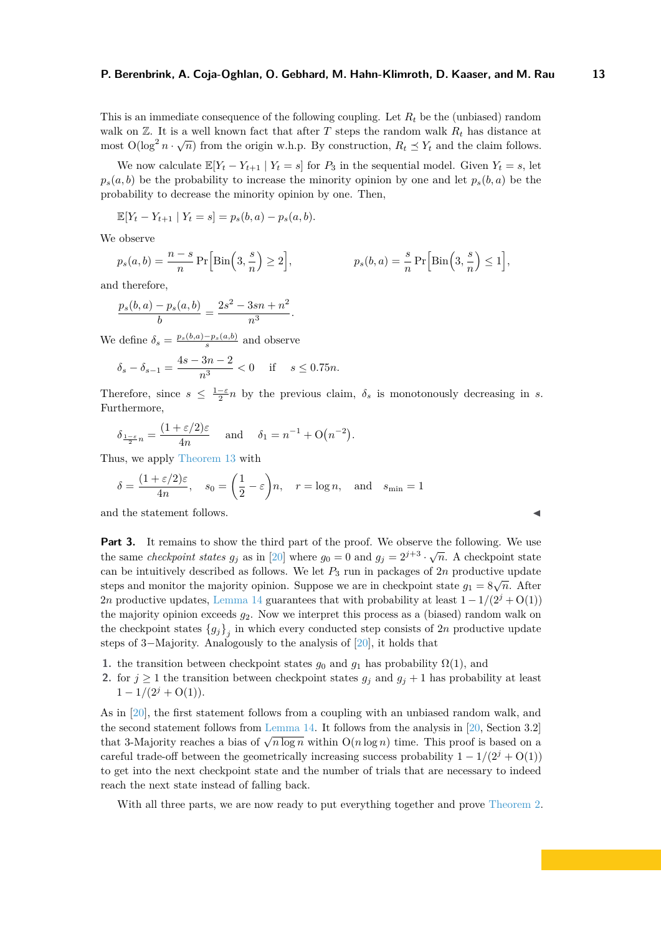This is an immediate consequence of the following coupling. Let  $R_t$  be the (unbiased) random walk on  $\mathbb{Z}$ . It is a well known fact that after *T* steps the random walk  $R_t$  has distance at most  $O(\log^2 n \cdot \sqrt{n})$  from the origin w.h.p. By construction,  $R_t \leq Y_t$  and the claim follows.

We now calculate  $\mathbb{E}[Y_t - Y_{t+1} | Y_t = s]$  for  $P_3$  in the sequential model. Given  $Y_t = s$ , let  $p_s(a, b)$  be the probability to increase the minority opinion by one and let  $p_s(b, a)$  be the probability to decrease the minority opinion by one. Then,

$$
\mathbb{E}[Y_t - Y_{t+1} | Y_t = s] = p_s(b, a) - p_s(a, b).
$$

We observe

$$
p_s(a,b) = \frac{n-s}{n} \Pr\Big[\text{Bin}\Big(3,\frac{s}{n}\Big) \ge 2\Big], \qquad p_s(b,a) = \frac{s}{n} \Pr\Big[\text{Bin}\Big(3,\frac{s}{n}\Big) \le 1\Big],
$$

and therefore,

$$
\frac{p_s(b,a) - p_s(a,b)}{b} = \frac{2s^2 - 3sn + n^2}{n^3}.
$$

We define  $\delta_s = \frac{p_s(b,a) - p_s(a,b)}{s}$  and observe

$$
\delta_s - \delta_{s-1} = \frac{4s - 3n - 2}{n^3} < 0
$$
 if  $s \le 0.75n$ .

Therefore, since  $s \leq \frac{1-\varepsilon}{2}n$  by the previous claim,  $\delta_s$  is monotonously decreasing in *s*. Furthermore,

$$
\delta_{\frac{1-\varepsilon}{2}n} = \frac{(1+\varepsilon/2)\varepsilon}{4n} \quad \text{and} \quad \delta_1 = n^{-1} + O(n^{-2}).
$$

Thus, we apply [Theorem 13](#page-10-3) with

$$
\delta = \frac{(1 + \varepsilon/2)\varepsilon}{4n}, \quad s_0 = \left(\frac{1}{2} - \varepsilon\right)n, \quad r = \log n, \quad \text{and} \quad s_{\min} = 1
$$

and the statement follows.

**Part 3.** It remains to show the third part of the proof. We observe the following. We use the same *checkpoint states*  $g_j$  as in [\[20\]](#page-17-11) where  $g_0 = 0$  and  $g_j = 2^{j+3} \cdot \sqrt{n}$ . A checkpoint state can be intuitively described as follows. We let  $P_3$  run in packages of  $2n$  productive update steps and monitor the majority opinion. Suppose we are in checkpoint state  $g_1 = 8\sqrt{n}$ . After 2*n* productive updates, [Lemma 14](#page-10-2) guarantees that with probability at least  $1 - 1/(2^{j} + O(1))$ the majority opinion exceeds *g*2. Now we interpret this process as a (biased) random walk on the checkpoint states  ${g_j}_{j}$  in which every conducted step consists of 2*n* productive update steps of 3−Majority. Analogously to the analysis of [\[20\]](#page-17-11), it holds that

- **1.** the transition between checkpoint states  $g_0$  and  $g_1$  has probability  $\Omega(1)$ , and
- **2.** for  $j \ge 1$  the transition between checkpoint states  $g_j$  and  $g_j + 1$  has probability at least  $1 - 1/(2^{j} + O(1)).$

As in [\[20\]](#page-17-11), the first statement follows from a coupling with an unbiased random walk, and the second statement follows from [Lemma 14.](#page-10-2) It follows from the analysis in [\[20,](#page-17-11) Section 3.2] that 3-Majority reaches a bias of  $\sqrt{n \log n}$  within  $O(n \log n)$  time. This proof is based on a careful trade-off between the geometrically increasing success probability  $1 - 1/(2^{j} + O(1))$ to get into the next checkpoint state and the number of trials that are necessary to indeed reach the next state instead of falling back.

With all three parts, we are now ready to put everything together and prove [Theorem 2.](#page-4-2)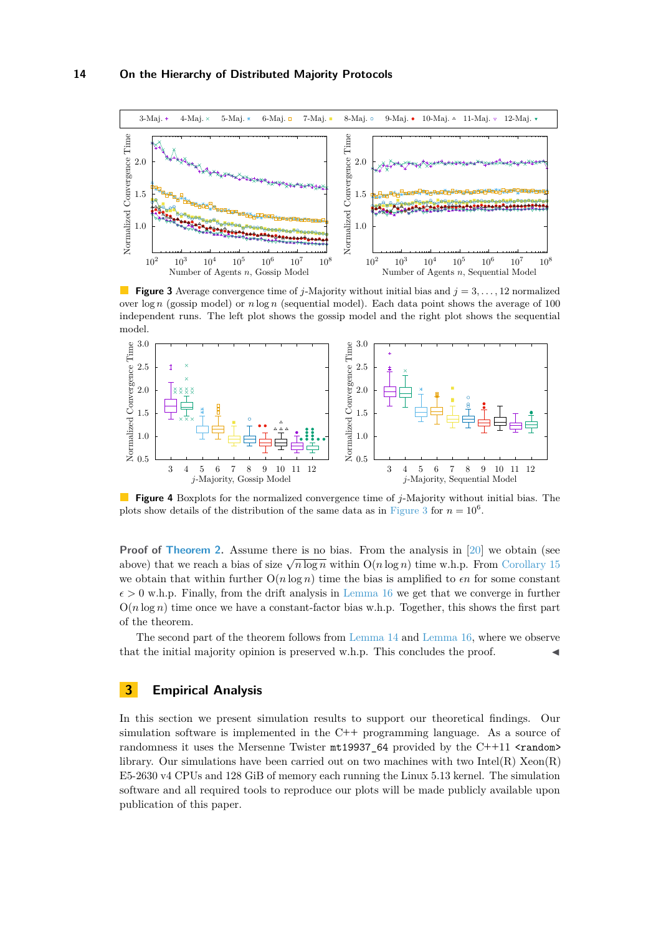<span id="page-13-0"></span>

**Figure 3** Average convergence time of *j*-Majority without initial bias and  $j = 3, \ldots, 12$  normalized over  $\log n$  (gossip model) or  $n \log n$  (sequential model). Each data point shows the average of 100 independent runs. The left plot shows the gossip model and the right plot shows the sequential model.



**Figure 4** Boxplots for the normalized convergence time of *j*-Majority without initial bias. The plots show details of the distribution of the same data as in [Figure 3](#page-13-0) for  $n = 10^6$ .

**Proof of [Theorem 2.](#page-4-2)** Assume there is no bias. From the analysis in [\[20\]](#page-17-11) we obtain (see above) that we reach a bias of size  $\sqrt{n \log n}$  within  $O(n \log n)$  time w.h.p. From [Corollary 15](#page-11-2) we obtain that within further  $O(n \log n)$  time the bias is amplified to  $\epsilon n$  for some constant  $\epsilon > 0$  w.h.p. Finally, from the drift analysis in [Lemma 16](#page-11-3) we get that we converge in further  $O(n \log n)$  time once we have a constant-factor bias w.h.p. Together, this shows the first part of the theorem.

The second part of the theorem follows from [Lemma 14](#page-10-2) and [Lemma 16,](#page-11-3) where we observe that the initial majority opinion is preserved w.h.p. This concludes the proof.

### **3 Empirical Analysis**

In this section we present simulation results to support our theoretical findings. Our simulation software is implemented in the C**++** programming language. As a source of randomness it uses the Mersenne Twister mt19937\_64 provided by the C++11  $\epsilon$ **random**> library. Our simulations have been carried out on two machines with two Intel(R)  $Xeon(R)$ E5-2630 v4 CPUs and 128 GiB of memory each running the Linux 5.13 kernel. The simulation software and all required tools to reproduce our plots will be made publicly available upon publication of this paper.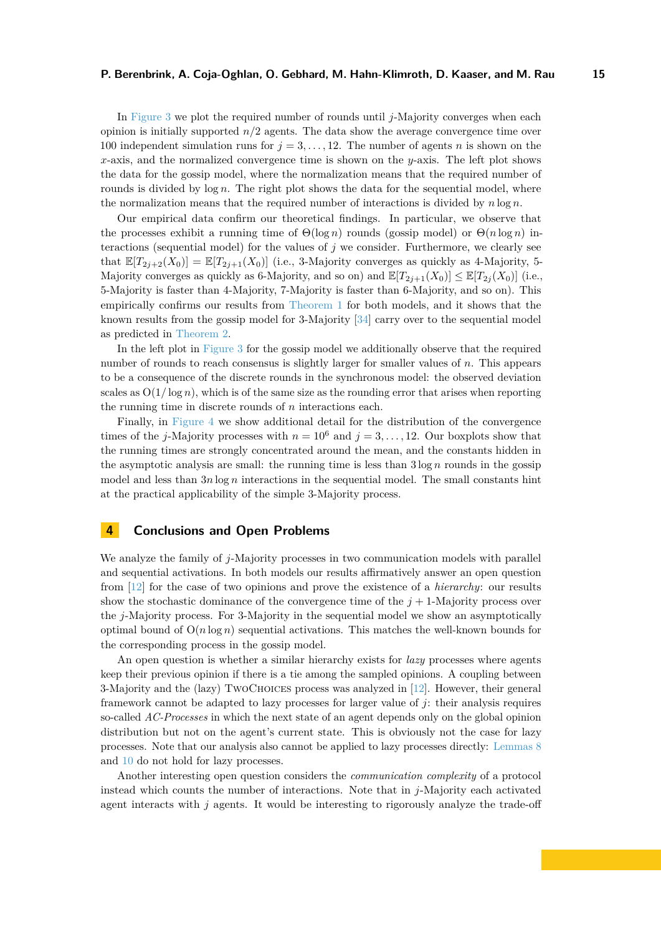In [Figure 3](#page-13-0) we plot the required number of rounds until *j*-Majority converges when each opinion is initially supported *n/*2 agents. The data show the average convergence time over 100 independent simulation runs for  $j = 3, \ldots, 12$ . The number of agents *n* is shown on the *x*-axis, and the normalized convergence time is shown on the *y*-axis. The left plot shows the data for the gossip model, where the normalization means that the required number of rounds is divided by log *n*. The right plot shows the data for the sequential model, where the normalization means that the required number of interactions is divided by *n* log *n*.

Our empirical data confirm our theoretical findings. In particular, we observe that the processes exhibit a running time of  $\Theta(\log n)$  rounds (gossip model) or  $\Theta(n \log n)$  interactions (sequential model) for the values of  $j$  we consider. Furthermore, we clearly see that  $\mathbb{E}[T_{2i+2}(X_0)] = \mathbb{E}[T_{2i+1}(X_0)]$  (i.e., 3-Majority converges as quickly as 4-Majority, 5-Majority converges as quickly as 6-Majority, and so on) and  $\mathbb{E}[T_{2j+1}(X_0)] \leq \mathbb{E}[T_{2j}(X_0)]$  (i.e., 5-Majority is faster than 4-Majority, 7-Majority is faster than 6-Majority, and so on). This empirically confirms our results from [Theorem 1](#page-4-1) for both models, and it shows that the known results from the gossip model for 3-Majority [\[34\]](#page-18-0) carry over to the sequential model as predicted in [Theorem 2.](#page-4-2)

In the left plot in [Figure 3](#page-13-0) for the gossip model we additionally observe that the required number of rounds to reach consensus is slightly larger for smaller values of *n*. This appears to be a consequence of the discrete rounds in the synchronous model: the observed deviation scales as  $O(1/\log n)$ , which is of the same size as the rounding error that arises when reporting the running time in discrete rounds of *n* interactions each.

Finally, in [Figure 4](#page-13-0) we show additional detail for the distribution of the convergence times of the *j*-Majority processes with  $n = 10^6$  and  $j = 3, \ldots, 12$ . Our boxplots show that the running times are strongly concentrated around the mean, and the constants hidden in the asymptotic analysis are small: the running time is less than  $3 \log n$  rounds in the gossip model and less than  $3n \log n$  interactions in the sequential model. The small constants hint at the practical applicability of the simple 3-Majority process.

### **4 Conclusions and Open Problems**

We analyze the family of *j*-Majority processes in two communication models with parallel and sequential activations. In both models our results affirmatively answer an open question from [\[12\]](#page-16-2) for the case of two opinions and prove the existence of a *hierarchy*: our results show the stochastic dominance of the convergence time of the  $j + 1$ -Majority process over the *j*-Majority process. For 3-Majority in the sequential model we show an asymptotically optimal bound of  $O(n \log n)$  sequential activations. This matches the well-known bounds for the corresponding process in the gossip model.

An open question is whether a similar hierarchy exists for *lazy* processes where agents keep their previous opinion if there is a tie among the sampled opinions. A coupling between 3-Majority and the (lazy) TwoChoices process was analyzed in [\[12\]](#page-16-2). However, their general framework cannot be adapted to lazy processes for larger value of *j*: their analysis requires so-called *AC-Processes* in which the next state of an agent depends only on the global opinion distribution but not on the agent's current state. This is obviously not the case for lazy processes. Note that our analysis also cannot be applied to lazy processes directly: [Lemmas 8](#page-7-1) and [10](#page-7-2) do not hold for lazy processes.

Another interesting open question considers the *communication complexity* of a protocol instead which counts the number of interactions. Note that in *j*-Majority each activated agent interacts with *j* agents. It would be interesting to rigorously analyze the trade-off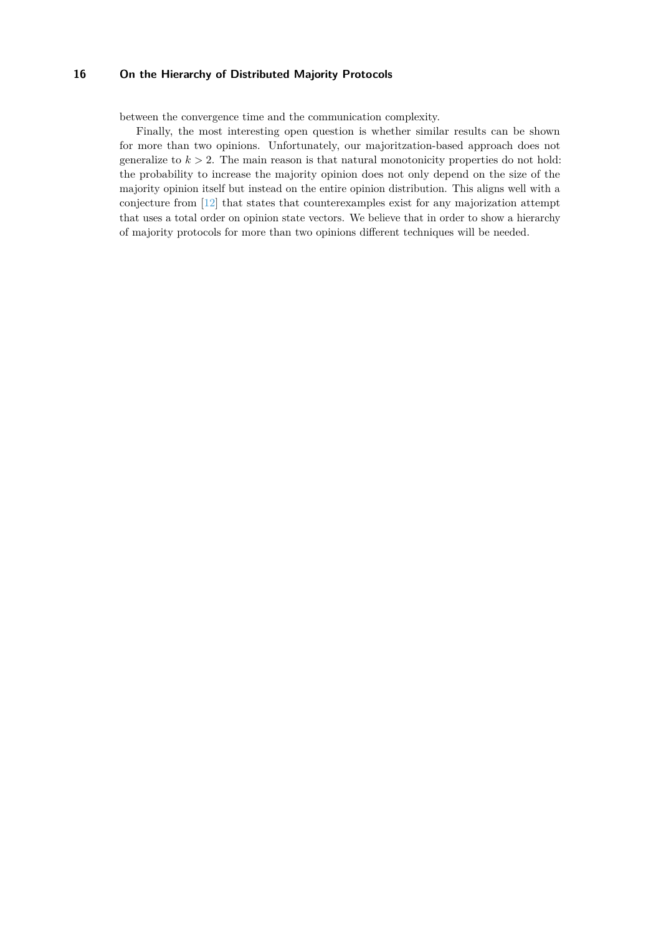between the convergence time and the communication complexity.

Finally, the most interesting open question is whether similar results can be shown for more than two opinions. Unfortunately, our majoritzation-based approach does not generalize to  $k > 2$ . The main reason is that natural monotonicity properties do not hold: the probability to increase the majority opinion does not only depend on the size of the majority opinion itself but instead on the entire opinion distribution. This aligns well with a conjecture from [\[12\]](#page-16-2) that states that counterexamples exist for any majorization attempt that uses a total order on opinion state vectors. We believe that in order to show a hierarchy of majority protocols for more than two opinions different techniques will be needed.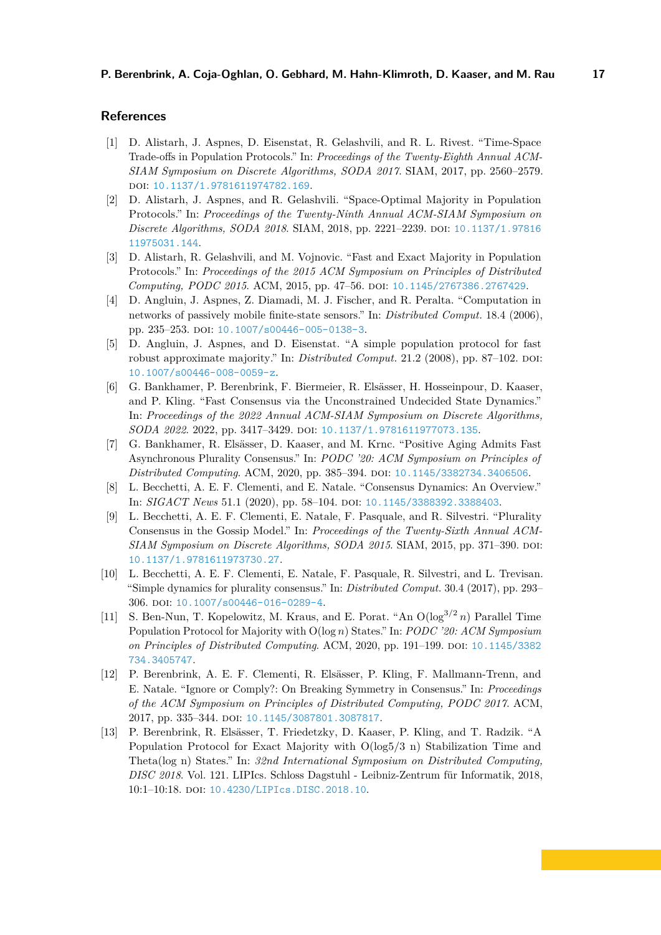### **References**

- <span id="page-16-7"></span>[1] D. Alistarh, J. Aspnes, D. Eisenstat, R. Gelashvili, and R. L. Rivest. "Time-Space Trade-offs in Population Protocols." In: *Proceedings of the Twenty-Eighth Annual ACM-SIAM Symposium on Discrete Algorithms, SODA 2017*. SIAM, 2017, pp. 2560–2579. doi: [10.1137/1.9781611974782.169](https://doi.org/10.1137/1.9781611974782.169).
- <span id="page-16-8"></span>[2] D. Alistarh, J. Aspnes, and R. Gelashvili. "Space-Optimal Majority in Population Protocols." In: *Proceedings of the Twenty-Ninth Annual ACM-SIAM Symposium on Discrete Algorithms, SODA 2018*. SIAM, 2018, pp. 2221–2239. doi: [10.1137/1.97816](https://doi.org/10.1137/1.9781611975031.144) [11975031.144](https://doi.org/10.1137/1.9781611975031.144).
- <span id="page-16-9"></span>[3] D. Alistarh, R. Gelashvili, and M. Vojnovic. "Fast and Exact Majority in Population Protocols." In: *Proceedings of the 2015 ACM Symposium on Principles of Distributed Computing, PODC 2015*. ACM, 2015, pp. 47–56. doi: [10.1145/2767386.2767429](https://doi.org/10.1145/2767386.2767429).
- <span id="page-16-4"></span>[4] D. Angluin, J. Aspnes, Z. Diamadi, M. J. Fischer, and R. Peralta. "Computation in networks of passively mobile finite-state sensors." In: *Distributed Comput.* 18.4 (2006), pp. 235-253. doi: [10.1007/s00446-005-0138-3](https://doi.org/10.1007/s00446-005-0138-3).
- <span id="page-16-5"></span>[5] D. Angluin, J. Aspnes, and D. Eisenstat. "A simple population protocol for fast robust approximate majority." In: *Distributed Comput.* 21.2 (2008), pp. 87–102. DOI: [10.1007/s00446-008-0059-z](https://doi.org/10.1007/s00446-008-0059-z).
- <span id="page-16-6"></span>[6] G. Bankhamer, P. Berenbrink, F. Biermeier, R. Elsässer, H. Hosseinpour, D. Kaaser, and P. Kling. "Fast Consensus via the Unconstrained Undecided State Dynamics." In: *Proceedings of the 2022 Annual ACM-SIAM Symposium on Discrete Algorithms, SODA 2022.* 2022, pp. 3417-3429. DOI: [10.1137/1.9781611977073.135](https://doi.org/10.1137/1.9781611977073.135).
- <span id="page-16-12"></span>[7] G. Bankhamer, R. Elsässer, D. Kaaser, and M. Krnc. "Positive Aging Admits Fast Asynchronous Plurality Consensus." In: *PODC '20: ACM Symposium on Principles of Distributed Computing. ACM, 2020, pp. 385-394. poi: [10.1145/3382734.3406506](https://doi.org/10.1145/3382734.3406506).*
- <span id="page-16-0"></span>[8] L. Becchetti, A. E. F. Clementi, and E. Natale. "Consensus Dynamics: An Overview." In: *SIGACT News* 51.1 (2020), pp. 58-104. DOI: [10.1145/3388392.3388403](https://doi.org/10.1145/3388392.3388403).
- <span id="page-16-3"></span>[9] L. Becchetti, A. E. F. Clementi, E. Natale, F. Pasquale, and R. Silvestri. "Plurality Consensus in the Gossip Model." In: *Proceedings of the Twenty-Sixth Annual ACM-SIAM Symposium on Discrete Algorithms, SODA 2015*. SIAM, 2015, pp. 371–390. doi: [10.1137/1.9781611973730.27](https://doi.org/10.1137/1.9781611973730.27).
- <span id="page-16-1"></span>[10] L. Becchetti, A. E. F. Clementi, E. Natale, F. Pasquale, R. Silvestri, and L. Trevisan. "Simple dynamics for plurality consensus." In: *Distributed Comput.* 30.4 (2017), pp. 293– 306. doi: [10.1007/s00446-016-0289-4](https://doi.org/10.1007/s00446-016-0289-4).
- <span id="page-16-10"></span>[11] S. Ben-Nun, T. Kopelowitz, M. Kraus, and E. Porat. "An O(log<sup>3</sup>*/*<sup>2</sup> *n*) Parallel Time Population Protocol for Majority with O(log *n*) States." In: *PODC '20: ACM Symposium on Principles of Distributed Computing*. ACM, 2020, pp. 191–199. DOI: [10.1145/3382](https://doi.org/10.1145/3382734.3405747) [734.3405747](https://doi.org/10.1145/3382734.3405747).
- <span id="page-16-2"></span>[12] P. Berenbrink, A. E. F. Clementi, R. Elsässer, P. Kling, F. Mallmann-Trenn, and E. Natale. "Ignore or Comply?: On Breaking Symmetry in Consensus." In: *Proceedings of the ACM Symposium on Principles of Distributed Computing, PODC 2017*. ACM, 2017, pp. 335-344. DOI: [10.1145/3087801.3087817](https://doi.org/10.1145/3087801.3087817).
- <span id="page-16-11"></span>[13] P. Berenbrink, R. Elsässer, T. Friedetzky, D. Kaaser, P. Kling, and T. Radzik. "A Population Protocol for Exact Majority with O(log5/3 n) Stabilization Time and Theta(log n) States." In: *32nd International Symposium on Distributed Computing, DISC 2018*. Vol. 121. LIPIcs. Schloss Dagstuhl - Leibniz-Zentrum für Informatik, 2018, 10:1–10:18. doi: [10.4230/LIPIcs.DISC.2018.10](https://doi.org/10.4230/LIPIcs.DISC.2018.10).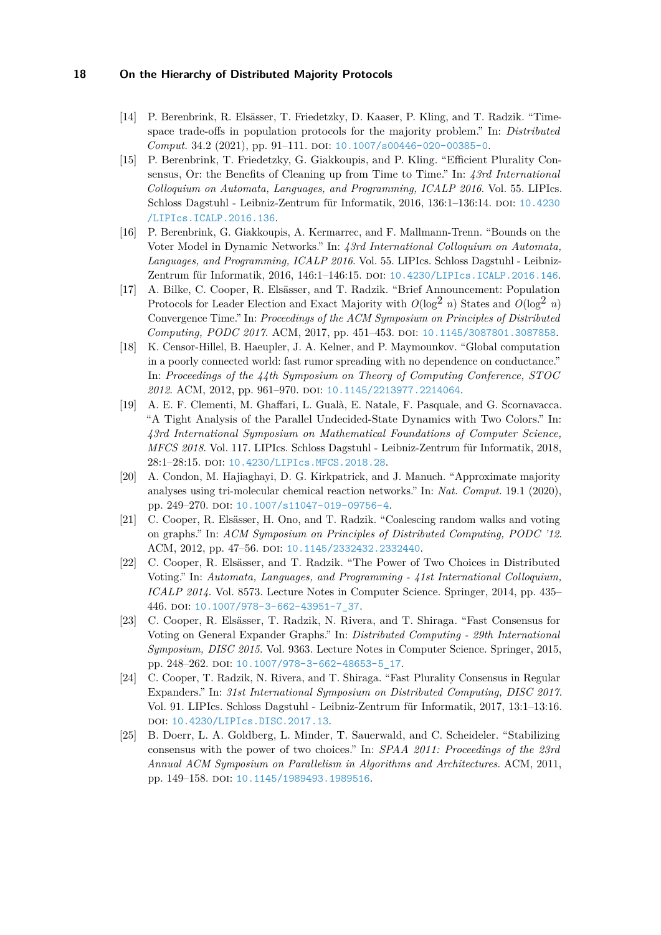- <span id="page-17-9"></span>[14] P. Berenbrink, R. Elsässer, T. Friedetzky, D. Kaaser, P. Kling, and T. Radzik. "Timespace trade-offs in population protocols for the majority problem." In: *Distributed Comput.* 34.2 (2021), pp. 91–111. DOI: [10.1007/s00446-020-00385-0](https://doi.org/10.1007/s00446-020-00385-0).
- <span id="page-17-8"></span>[15] P. Berenbrink, T. Friedetzky, G. Giakkoupis, and P. Kling. "Efficient Plurality Consensus, Or: the Benefits of Cleaning up from Time to Time." In: *43rd International Colloquium on Automata, Languages, and Programming, ICALP 2016*. Vol. 55. LIPIcs. Schloss Dagstuhl - Leibniz-Zentrum für Informatik, 2016, 136:1-136:14. DOI: [10.4230](https://doi.org/10.4230/LIPIcs.ICALP.2016.136) [/LIPIcs.ICALP.2016.136](https://doi.org/10.4230/LIPIcs.ICALP.2016.136).
- <span id="page-17-1"></span>[16] P. Berenbrink, G. Giakkoupis, A. Kermarrec, and F. Mallmann-Trenn. "Bounds on the Voter Model in Dynamic Networks." In: *43rd International Colloquium on Automata, Languages, and Programming, ICALP 2016*. Vol. 55. LIPIcs. Schloss Dagstuhl - Leibniz-Zentrum für Informatik, 2016, 146:1-146:15. DOI: [10.4230/LIPIcs.ICALP.2016.146](https://doi.org/10.4230/LIPIcs.ICALP.2016.146).
- <span id="page-17-10"></span>[17] A. Bilke, C. Cooper, R. Elsässer, and T. Radzik. "Brief Announcement: Population Protocols for Leader Election and Exact Majority with  $O(\log^2 n)$  States and  $O(\log^2 n)$ Convergence Time." In: *Proceedings of the ACM Symposium on Principles of Distributed Computing, PODC 2017*. ACM, 2017, pp. 451–453. doi: [10.1145/3087801.3087858](https://doi.org/10.1145/3087801.3087858).
- <span id="page-17-0"></span>[18] K. Censor-Hillel, B. Haeupler, J. A. Kelner, and P. Maymounkov. "Global computation in a poorly connected world: fast rumor spreading with no dependence on conductance." In: *Proceedings of the 44th Symposium on Theory of Computing Conference, STOC* 2012. ACM, 2012, pp. 961-970. DOI: [10.1145/2213977.2214064](https://doi.org/10.1145/2213977.2214064).
- <span id="page-17-7"></span>[19] A. E. F. Clementi, M. Ghaffari, L. Gualà, E. Natale, F. Pasquale, and G. Scornavacca. "A Tight Analysis of the Parallel Undecided-State Dynamics with Two Colors." In: *43rd International Symposium on Mathematical Foundations of Computer Science, MFCS 2018*. Vol. 117. LIPIcs. Schloss Dagstuhl - Leibniz-Zentrum für Informatik, 2018, 28:1–28:15. doi: [10.4230/LIPIcs.MFCS.2018.28](https://doi.org/10.4230/LIPIcs.MFCS.2018.28).
- <span id="page-17-11"></span>[20] A. Condon, M. Hajiaghayi, D. G. Kirkpatrick, and J. Manuch. "Approximate majority analyses using tri-molecular chemical reaction networks." In: *Nat. Comput.* 19.1 (2020), pp. 249-270. poi: [10.1007/s11047-019-09756-4](https://doi.org/10.1007/s11047-019-09756-4).
- <span id="page-17-3"></span>[21] C. Cooper, R. Elsässer, H. Ono, and T. Radzik. "Coalescing random walks and voting on graphs." In: *ACM Symposium on Principles of Distributed Computing, PODC '12*. ACM, 2012, pp. 47–56. doi: [10.1145/2332432.2332440](https://doi.org/10.1145/2332432.2332440).
- <span id="page-17-2"></span>[22] C. Cooper, R. Elsässer, and T. Radzik. "The Power of Two Choices in Distributed Voting." In: *Automata, Languages, and Programming - 41st International Colloquium, ICALP 2014*. Vol. 8573. Lecture Notes in Computer Science. Springer, 2014, pp. 435– 446. doi: [10.1007/978-3-662-43951-7\\_37](https://doi.org/10.1007/978-3-662-43951-7_37).
- <span id="page-17-4"></span>[23] C. Cooper, R. Elsässer, T. Radzik, N. Rivera, and T. Shiraga. "Fast Consensus for Voting on General Expander Graphs." In: *Distributed Computing - 29th International Symposium, DISC 2015*. Vol. 9363. Lecture Notes in Computer Science. Springer, 2015, pp. 248–262. poi: [10.1007/978-3-662-48653-5\\_17](https://doi.org/10.1007/978-3-662-48653-5_17).
- <span id="page-17-5"></span>[24] C. Cooper, T. Radzik, N. Rivera, and T. Shiraga. "Fast Plurality Consensus in Regular Expanders." In: *31st International Symposium on Distributed Computing, DISC 2017*. Vol. 91. LIPIcs. Schloss Dagstuhl - Leibniz-Zentrum für Informatik, 2017, 13:1–13:16. doi: [10.4230/LIPIcs.DISC.2017.13](https://doi.org/10.4230/LIPIcs.DISC.2017.13).
- <span id="page-17-6"></span>[25] B. Doerr, L. A. Goldberg, L. Minder, T. Sauerwald, and C. Scheideler. "Stabilizing consensus with the power of two choices." In: *SPAA 2011: Proceedings of the 23rd Annual ACM Symposium on Parallelism in Algorithms and Architectures*. ACM, 2011, pp. 149-158. doi: [10.1145/1989493.1989516](https://doi.org/10.1145/1989493.1989516).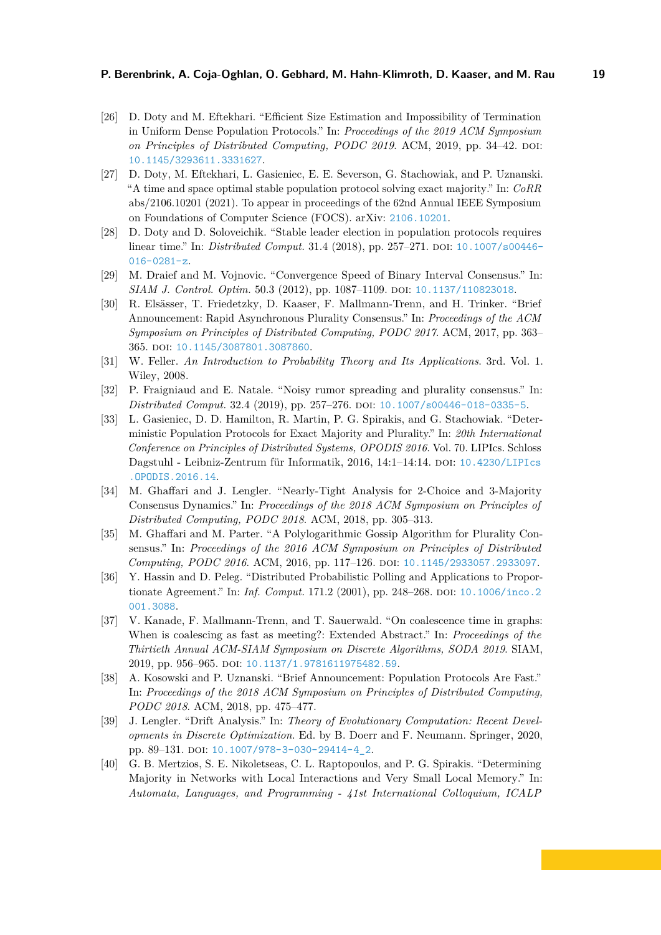- <span id="page-18-12"></span>[26] D. Doty and M. Eftekhari. "Efficient Size Estimation and Impossibility of Termination in Uniform Dense Population Protocols." In: *Proceedings of the 2019 ACM Symposium on Principles of Distributed Computing, PODC 2019.* ACM, 2019, pp. 34–42. DOI: [10.1145/3293611.3331627](https://doi.org/10.1145/3293611.3331627).
- <span id="page-18-6"></span>[27] D. Doty, M. Eftekhari, L. Gasieniec, E. E. Severson, G. Stachowiak, and P. Uznanski. "A time and space optimal stable population protocol solving exact majority." In: *CoRR* abs/2106.10201 (2021). To appear in proceedings of the 62nd Annual IEEE Symposium on Foundations of Computer Science (FOCS). arXiv: [2106.10201](https://arxiv.org/abs/2106.10201).
- <span id="page-18-7"></span>[28] D. Doty and D. Soloveichik. "Stable leader election in population protocols requires linear time." In: *Distributed Comput.* 31.4 (2018), pp. 257–271. pol: [10.1007/s00446-](https://doi.org/10.1007/s00446-016-0281-z) [016-0281-z](https://doi.org/10.1007/s00446-016-0281-z).
- <span id="page-18-8"></span>[29] M. Draief and M. Vojnovic. "Convergence Speed of Binary Interval Consensus." In: *SIAM J. Control. Optim.* 50.3 (2012), pp. 1087–1109. doi: [10.1137/110823018](https://doi.org/10.1137/110823018).
- <span id="page-18-4"></span>[30] R. Elsässer, T. Friedetzky, D. Kaaser, F. Mallmann-Trenn, and H. Trinker. "Brief Announcement: Rapid Asynchronous Plurality Consensus." In: *Proceedings of the ACM Symposium on Principles of Distributed Computing, PODC 2017*. ACM, 2017, pp. 363– 365. doi: [10.1145/3087801.3087860](https://doi.org/10.1145/3087801.3087860).
- <span id="page-18-13"></span>[31] W. Feller. *An Introduction to Probability Theory and Its Applications*. 3rd. Vol. 1. Wiley, 2008.
- <span id="page-18-1"></span>[32] P. Fraigniaud and E. Natale. "Noisy rumor spreading and plurality consensus." In: *Distributed Comput.* 32.4 (2019), pp. 257–276. DOI: [10.1007/s00446-018-0335-5](https://doi.org/10.1007/s00446-018-0335-5).
- <span id="page-18-11"></span>[33] L. Gasieniec, D. D. Hamilton, R. Martin, P. G. Spirakis, and G. Stachowiak. "Deterministic Population Protocols for Exact Majority and Plurality." In: *20th International Conference on Principles of Distributed Systems, OPODIS 2016*. Vol. 70. LIPIcs. Schloss Dagstuhl - Leibniz-Zentrum für Informatik, 2016, 14:1-14:14. DOI: [10.4230/LIPIcs](https://doi.org/10.4230/LIPIcs.OPODIS.2016.14) [.OPODIS.2016.14](https://doi.org/10.4230/LIPIcs.OPODIS.2016.14).
- <span id="page-18-0"></span>[34] M. Ghaffari and J. Lengler. "Nearly-Tight Analysis for 2-Choice and 3-Majority Consensus Dynamics." In: *Proceedings of the 2018 ACM Symposium on Principles of Distributed Computing, PODC 2018*. ACM, 2018, pp. 305–313.
- <span id="page-18-5"></span>[35] M. Ghaffari and M. Parter. "A Polylogarithmic Gossip Algorithm for Plurality Consensus." In: *Proceedings of the 2016 ACM Symposium on Principles of Distributed Computing, PODC 2016*. ACM, 2016, pp. 117–126. doi: [10.1145/2933057.2933097](https://doi.org/10.1145/2933057.2933097).
- <span id="page-18-2"></span>[36] Y. Hassin and D. Peleg. "Distributed Probabilistic Polling and Applications to Proportionate Agreement." In: *Inf. Comput.* 171.2 (2001), pp. 248–268. pol: [10.1006/inco.2](https://doi.org/10.1006/inco.2001.3088) [001.3088](https://doi.org/10.1006/inco.2001.3088).
- <span id="page-18-3"></span>[37] V. Kanade, F. Mallmann-Trenn, and T. Sauerwald. "On coalescence time in graphs: When is coalescing as fast as meeting?: Extended Abstract." In: *Proceedings of the Thirtieth Annual ACM-SIAM Symposium on Discrete Algorithms, SODA 2019*. SIAM, 2019, pp. 956-965. poi: [10.1137/1.9781611975482.59](https://doi.org/10.1137/1.9781611975482.59).
- <span id="page-18-9"></span>[38] A. Kosowski and P. Uznanski. "Brief Announcement: Population Protocols Are Fast." In: *Proceedings of the 2018 ACM Symposium on Principles of Distributed Computing, PODC 2018*. ACM, 2018, pp. 475–477.
- <span id="page-18-14"></span>[39] J. Lengler. "Drift Analysis." In: *Theory of Evolutionary Computation: Recent Developments in Discrete Optimization*. Ed. by B. Doerr and F. Neumann. Springer, 2020, pp. 89-131. doi: [10.1007/978-3-030-29414-4\\_2](https://doi.org/10.1007/978-3-030-29414-4_2).
- <span id="page-18-10"></span>[40] G. B. Mertzios, S. E. Nikoletseas, C. L. Raptopoulos, and P. G. Spirakis. "Determining Majority in Networks with Local Interactions and Very Small Local Memory." In: *Automata, Languages, and Programming - 41st International Colloquium, ICALP*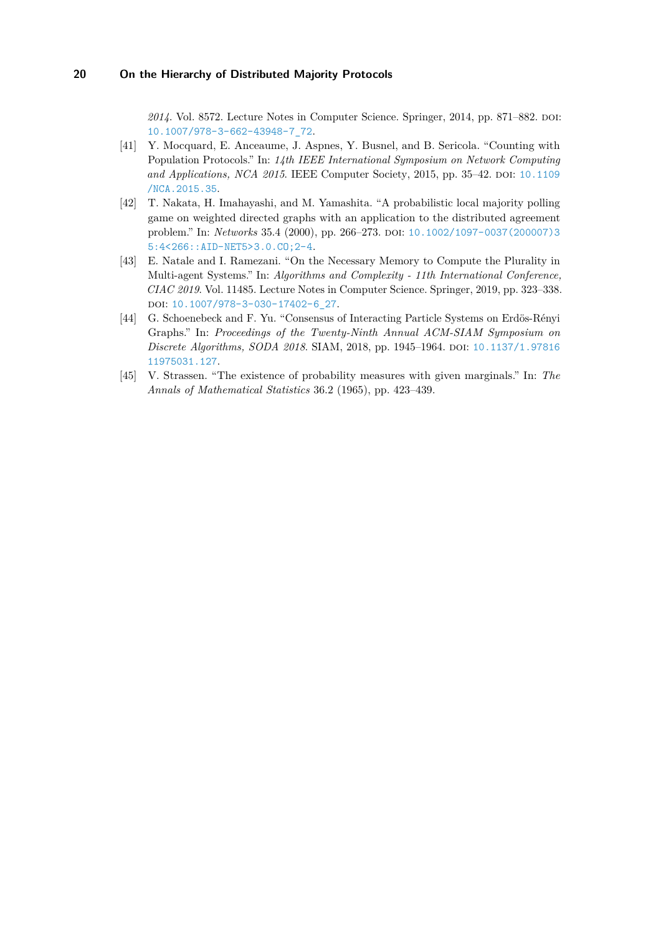2014. Vol. 8572. Lecture Notes in Computer Science. Springer, 2014, pp. 871–882. poi: [10.1007/978-3-662-43948-7\\_72](https://doi.org/10.1007/978-3-662-43948-7_72).

- <span id="page-19-2"></span>[41] Y. Mocquard, E. Anceaume, J. Aspnes, Y. Busnel, and B. Sericola. "Counting with Population Protocols." In: *14th IEEE International Symposium on Network Computing and Applications, NCA 2015.* IEEE Computer Society, 2015, pp. 35–42. DOI: [10.1109](https://doi.org/10.1109/NCA.2015.35) [/NCA.2015.35](https://doi.org/10.1109/NCA.2015.35).
- <span id="page-19-0"></span>[42] T. Nakata, H. Imahayashi, and M. Yamashita. "A probabilistic local majority polling game on weighted directed graphs with an application to the distributed agreement problem." In: *Networks* 35.4 (2000), pp. 266-273. DOI: [10.1002/1097-0037\(200007\)3](https://doi.org/10.1002/1097-0037(200007)35:4<266::AID-NET5>3.0.CO;2-4) [5:4<266::AID-NET5>3.0.CO;2-4](https://doi.org/10.1002/1097-0037(200007)35:4<266::AID-NET5>3.0.CO;2-4).
- <span id="page-19-3"></span>[43] E. Natale and I. Ramezani. "On the Necessary Memory to Compute the Plurality in Multi-agent Systems." In: *Algorithms and Complexity - 11th International Conference, CIAC 2019*. Vol. 11485. Lecture Notes in Computer Science. Springer, 2019, pp. 323–338. DOI: [10.1007/978-3-030-17402-6\\_27](https://doi.org/10.1007/978-3-030-17402-6_27).
- <span id="page-19-1"></span>[44] G. Schoenebeck and F. Yu. "Consensus of Interacting Particle Systems on Erdös-Rényi Graphs." In: *Proceedings of the Twenty-Ninth Annual ACM-SIAM Symposium on Discrete Algorithms, SODA 2018.* SIAM, 2018, pp. 1945–1964. DOI: [10.1137/1.97816](https://doi.org/10.1137/1.9781611975031.127) [11975031.127](https://doi.org/10.1137/1.9781611975031.127).
- <span id="page-19-4"></span>[45] V. Strassen. "The existence of probability measures with given marginals." In: *The Annals of Mathematical Statistics* 36.2 (1965), pp. 423–439.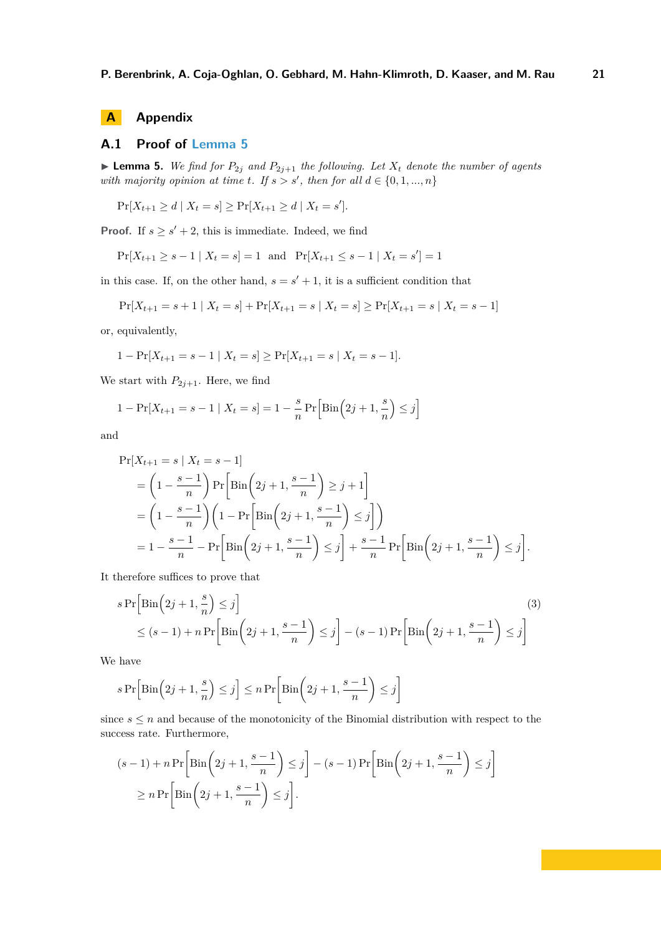### <span id="page-20-1"></span><span id="page-20-0"></span>**A.1 Proof of [Lemma 5](#page-6-3)**

**Lemma 5.** We find for  $P_{2j}$  and  $P_{2j+1}$  the following. Let  $X_t$  denote the number of agents *with majority opinion at time t. If*  $s > s'$ , *then for all*  $d \in \{0, 1, ..., n\}$ 

$$
\Pr[X_{t+1} \ge d \mid X_t = s] \ge \Pr[X_{t+1} \ge d \mid X_t = s'].
$$

**Proof.** If  $s \geq s' + 2$ , this is immediate. Indeed, we find

 $Pr[X_{t+1} \ge s-1 | X_t = s] = 1$  and  $Pr[X_{t+1} \le s-1 | X_t = s'] = 1$ 

in this case. If, on the other hand,  $s = s' + 1$ , it is a sufficient condition that

$$
\Pr[X_{t+1} = s+1 | X_t = s] + \Pr[X_{t+1} = s | X_t = s] \ge \Pr[X_{t+1} = s | X_t = s-1]
$$

or, equivalently,

$$
1 - \Pr[X_{t+1} = s - 1 \mid X_t = s] \ge \Pr[X_{t+1} = s \mid X_t = s - 1].
$$

We start with  $P_{2j+1}$ . Here, we find

$$
1 - \Pr[X_{t+1} = s - 1 \mid X_t = s] = 1 - \frac{s}{n} \Pr\Big[\text{Bin}\Big(2j + 1, \frac{s}{n}\Big) \le j\Big]
$$

and

$$
\Pr[X_{t+1} = s | X_t = s - 1] \\
= \left(1 - \frac{s - 1}{n}\right) \Pr\left[\text{Bin}\left(2j + 1, \frac{s - 1}{n}\right) \ge j + 1\right] \\
= \left(1 - \frac{s - 1}{n}\right) \left(1 - \Pr\left[\text{Bin}\left(2j + 1, \frac{s - 1}{n}\right) \le j\right]\right) \\
= 1 - \frac{s - 1}{n} - \Pr\left[\text{Bin}\left(2j + 1, \frac{s - 1}{n}\right) \le j\right] + \frac{s - 1}{n} \Pr\left[\text{Bin}\left(2j + 1, \frac{s - 1}{n}\right) \le j\right].
$$

It therefore suffices to prove that

<span id="page-20-2"></span>
$$
s \Pr\left[\text{Bin}\left(2j+1,\frac{s}{n}\right) \le j\right]
$$
\n
$$
\le (s-1) + n \Pr\left[\text{Bin}\left(2j+1,\frac{s-1}{n}\right) \le j\right] - (s-1) \Pr\left[\text{Bin}\left(2j+1,\frac{s-1}{n}\right) \le j\right]
$$
\n(3)

We have

$$
s\Pr\Bigl[\mathrm{Bin}\Bigl(2j+1,\frac{s}{n}\Bigr)\leq j\Bigr]\leq n\Pr\biggl[\mathrm{Bin}\biggl(2j+1,\frac{s-1}{n}\biggr)\leq j\Bigr]
$$

since  $s \leq n$  and because of the monotonicity of the Binomial distribution with respect to the success rate. Furthermore,

$$
(s-1) + n \Pr\left[\text{Bin}\left(2j+1, \frac{s-1}{n}\right) \le j\right] - (s-1) \Pr\left[\text{Bin}\left(2j+1, \frac{s-1}{n}\right) \le j\right]
$$

$$
\ge n \Pr\left[\text{Bin}\left(2j+1, \frac{s-1}{n}\right) \le j\right].
$$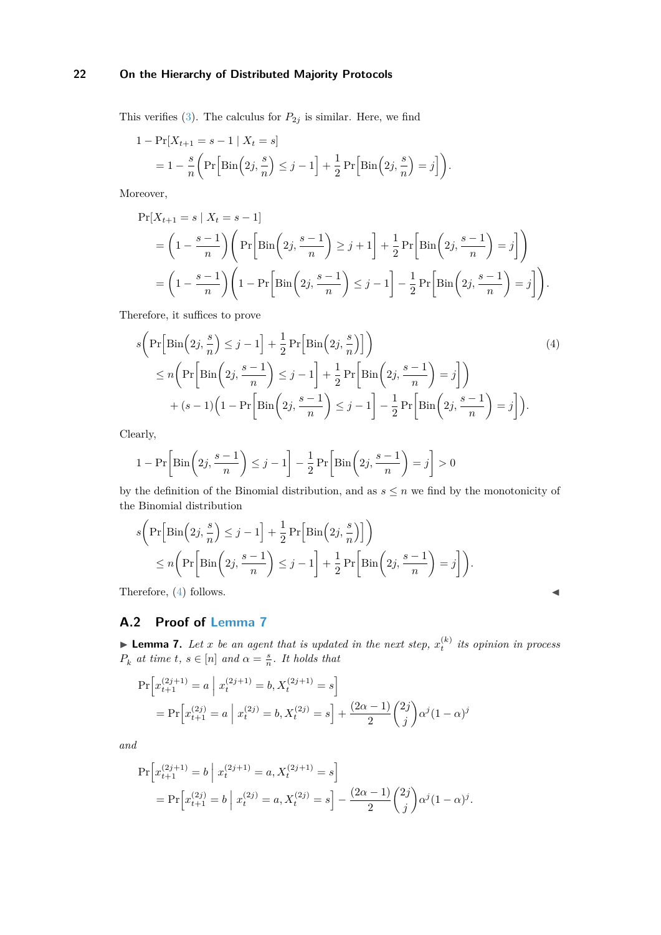This verifies [\(3\)](#page-20-2). The calculus for  $P_{2j}$  is similar. Here, we find

$$
1 - \Pr[X_{t+1} = s - 1 | X_t = s]
$$
  
=  $1 - \frac{s}{n} \left( \Pr\left[\text{Bin}\left(2j, \frac{s}{n}\right) \le j - 1\right] + \frac{1}{2} \Pr\left[\text{Bin}\left(2j, \frac{s}{n}\right) = j\right] \right).$ 

Moreover,

$$
\Pr[X_{t+1} = s \mid X_t = s-1]
$$
\n
$$
= \left(1 - \frac{s-1}{n}\right) \left( \Pr\left[\text{Bin}\left(2j, \frac{s-1}{n}\right) \ge j+1\right] + \frac{1}{2} \Pr\left[\text{Bin}\left(2j, \frac{s-1}{n}\right) = j\right] \right)
$$
\n
$$
= \left(1 - \frac{s-1}{n}\right) \left(1 - \Pr\left[\text{Bin}\left(2j, \frac{s-1}{n}\right) \le j-1\right] - \frac{1}{2} \Pr\left[\text{Bin}\left(2j, \frac{s-1}{n}\right) = j\right] \right).
$$

Therefore, it suffices to prove

<span id="page-21-1"></span>
$$
s\left(\Pr\left[\text{Bin}\left(2j,\frac{s}{n}\right) \leq j-1\right] + \frac{1}{2}\Pr\left[\text{Bin}\left(2j,\frac{s}{n}\right)\right]\right) \leq n\left(\Pr\left[\text{Bin}\left(2j,\frac{s-1}{n}\right) \leq j-1\right] + \frac{1}{2}\Pr\left[\text{Bin}\left(2j,\frac{s-1}{n}\right) = j\right]\right) + (s-1)\left(1 - \Pr\left[\text{Bin}\left(2j,\frac{s-1}{n}\right) \leq j-1\right] - \frac{1}{2}\Pr\left[\text{Bin}\left(2j,\frac{s-1}{n}\right) = j\right]\right).
$$
\n(4)

Clearly,

$$
1 - \Pr\left[\text{Bin}\left(2j, \frac{s-1}{n}\right) \le j-1\right] - \frac{1}{2} \Pr\left[\text{Bin}\left(2j, \frac{s-1}{n}\right) = j\right] > 0
$$

by the definition of the Binomial distribution, and as  $s \leq n$  we find by the monotonicity of the Binomial distribution

$$
s\left(\Pr\left[\text{Bin}\left(2j, \frac{s}{n}\right) \leq j-1\right] + \frac{1}{2}\Pr\left[\text{Bin}\left(2j, \frac{s}{n}\right)\right]\right) \\ \leq n\left(\Pr\left[\text{Bin}\left(2j, \frac{s-1}{n}\right) \leq j-1\right] + \frac{1}{2}\Pr\left[\text{Bin}\left(2j, \frac{s-1}{n}\right) = j\right]\right).
$$

Therefore,  $(4)$  follows.

## <span id="page-21-0"></span>**A.2 Proof of [Lemma 7](#page-6-0)**

**Example 7.** Let *x* be an agent that is updated in the next step,  $x_t^{(k)}$  its opinion in process  $P_k$  *at time*  $t, s \in [n]$  *and*  $\alpha = \frac{s}{n}$ *. It holds that* 

$$
\Pr\left[x_{t+1}^{(2j+1)} = a \mid x_t^{(2j+1)} = b, X_t^{(2j+1)} = s\right]
$$
  
= 
$$
\Pr\left[x_{t+1}^{(2j)} = a \mid x_t^{(2j)} = b, X_t^{(2j)} = s\right] + \frac{(2\alpha - 1)}{2} {2j \choose j} \alpha^j (1 - \alpha)^j
$$

*and*

$$
\Pr\left[x_{t+1}^{(2j+1)} = b \middle| x_t^{(2j+1)} = a, X_t^{(2j+1)} = s\right]
$$
  
= 
$$
\Pr\left[x_{t+1}^{(2j)} = b \middle| x_t^{(2j)} = a, X_t^{(2j)} = s\right] - \frac{(2\alpha - 1)}{2} {2j \choose j} \alpha^j (1 - \alpha)^j.
$$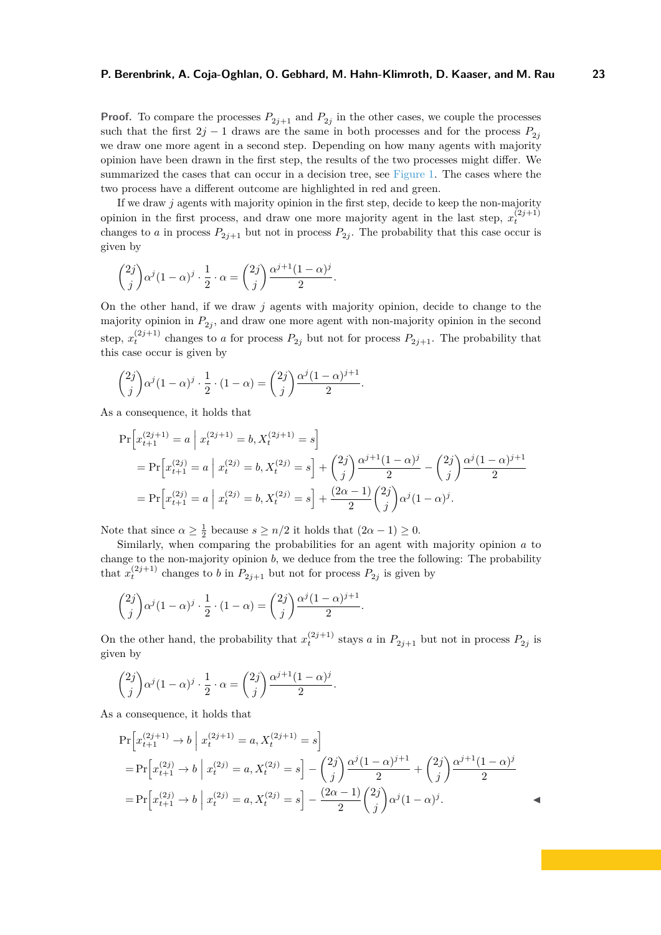**Proof.** To compare the processes  $P_{2j+1}$  and  $P_{2j}$  in the other cases, we couple the processes such that the first  $2j - 1$  draws are the same in both processes and for the process  $P_{2j}$ we draw one more agent in a second step. Depending on how many agents with majority opinion have been drawn in the first step, the results of the two processes might differ. We summarized the cases that can occur in a decision tree, see [Figure 1.](#page-6-1) The cases where the two process have a different outcome are highlighted in red and green.

If we draw *j* agents with majority opinion in the first step, decide to keep the non-majority opinion in the first process, and draw one more majority agent in the last step,  $x_t^{(2j+1)}$ changes to *a* in process  $P_{2j+1}$  but not in process  $P_{2j}$ . The probability that this case occur is given by

$$
\binom{2j}{j}\alpha^j(1-\alpha)^j\cdot\frac{1}{2}\cdot\alpha = \binom{2j}{j}\frac{\alpha^{j+1}(1-\alpha)^j}{2}.
$$

On the other hand, if we draw *j* agents with majority opinion, decide to change to the majority opinion in  $P_{2j}$ , and draw one more agent with non-majority opinion in the second step,  $x_t^{(2j+1)}$  changes to *a* for process  $P_{2j}$  but not for process  $P_{2j+1}$ . The probability that this case occur is given by

*.*

$$
\binom{2j}{j} \alpha^j (1-\alpha)^j \cdot \frac{1}{2} \cdot (1-\alpha) = \binom{2j}{j} \frac{\alpha^j (1-\alpha)^{j+1}}{2}
$$

As a consequence, it holds that

$$
\Pr\left[x_{t+1}^{(2j+1)} = a \middle| x_t^{(2j+1)} = b, X_t^{(2j+1)} = s\right]
$$
  
= 
$$
\Pr\left[x_{t+1}^{(2j)} = a \middle| x_t^{(2j)} = b, X_t^{(2j)} = s\right] + {2j \choose j} \frac{\alpha^{j+1} (1-\alpha)^j}{2} - {2j \choose j} \frac{\alpha^j (1-\alpha)^{j+1}}{2}
$$
  
= 
$$
\Pr\left[x_{t+1}^{(2j)} = a \middle| x_t^{(2j)} = b, X_t^{(2j)} = s\right] + \frac{(2\alpha - 1)}{2} {2j \choose j} \alpha^j (1-\alpha)^j.
$$

Note that since  $\alpha \geq \frac{1}{2}$  because  $s \geq n/2$  it holds that  $(2\alpha - 1) \geq 0$ .

Similarly, when comparing the probabilities for an agent with majority opinion *a* to change to the non-majority opinion *b*, we deduce from the tree the following: The probability that  $x_t^{(2j+1)}$  changes to *b* in  $P_{2j+1}$  but not for process  $P_{2j}$  is given by

$$
\binom{2j}{j}\alpha^j(1-\alpha)^j\cdot\frac{1}{2}\cdot(1-\alpha)=\binom{2j}{j}\frac{\alpha^j(1-\alpha)^{j+1}}{2}.
$$

On the other hand, the probability that  $x_t^{(2j+1)}$  stays *a* in  $P_{2j+1}$  but not in process  $P_{2j}$  is given by

$$
\binom{2j}{j}\alpha^j(1-\alpha)^j \cdot \frac{1}{2} \cdot \alpha = \binom{2j}{j}\frac{\alpha^{j+1}(1-\alpha)^j}{2}.
$$

As a consequence, it holds that

$$
\Pr\left[x_{t+1}^{(2j+1)} \to b \mid x_t^{(2j+1)} = a, X_t^{(2j+1)} = s\right]
$$
  
= 
$$
\Pr\left[x_{t+1}^{(2j)} \to b \mid x_t^{(2j)} = a, X_t^{(2j)} = s\right] - {2j \choose j} \frac{\alpha^j (1 - \alpha)^{j+1}}{2} + {2j \choose j} \frac{\alpha^{j+1} (1 - \alpha)^j}{2}
$$
  
= 
$$
\Pr\left[x_{t+1}^{(2j)} \to b \mid x_t^{(2j)} = a, X_t^{(2j)} = s\right] - \frac{(2\alpha - 1)}{2} {2j \choose j} \alpha^j (1 - \alpha)^j.
$$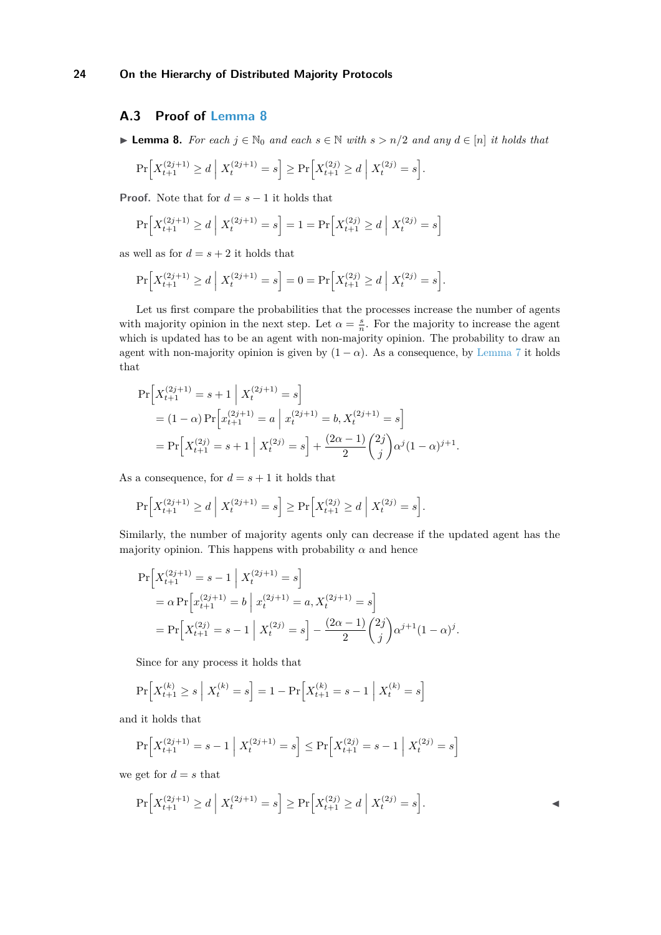### <span id="page-23-0"></span>**A.3 Proof of [Lemma 8](#page-7-1)**

**► Lemma 8.** *For each*  $j \in \mathbb{N}_0$  *and each*  $s \in \mathbb{N}$  *with*  $s > n/2$  *and any*  $d \in [n]$  *it holds that* 

$$
\Pr\Big[X_{t+1}^{(2j+1)} \ge d \; \Big| \; X_t^{(2j+1)} = s\Big] \ge \Pr\Big[X_{t+1}^{(2j)} \ge d \; \Big| \; X_t^{(2j)} = s\Big].
$$

**Proof.** Note that for  $d = s - 1$  it holds that

$$
\Pr\left[X_{t+1}^{(2j+1)} \ge d \mid X_t^{(2j+1)} = s\right] = 1 = \Pr\left[X_{t+1}^{(2j)} \ge d \mid X_t^{(2j)} = s\right]
$$

as well as for  $d = s + 2$  it holds that

$$
\Pr\Big[X_{t+1}^{(2j+1)} \ge d \mid X_t^{(2j+1)} = s\Big] = 0 = \Pr\Big[X_{t+1}^{(2j)} \ge d \mid X_t^{(2j)} = s\Big].
$$

Let us first compare the probabilities that the processes increase the number of agents with majority opinion in the next step. Let  $\alpha = \frac{s}{n}$ . For the majority to increase the agent which is updated has to be an agent with non-majority opinion. The probability to draw an agent with non-majority opinion is given by  $(1 - \alpha)$ . As a consequence, by [Lemma 7](#page-6-0) it holds that

$$
\Pr\left[X_{t+1}^{(2j+1)} = s+1 \middle| X_t^{(2j+1)} = s\right]
$$
  
=  $(1 - \alpha) \Pr\left[x_{t+1}^{(2j+1)} = a \middle| x_t^{(2j+1)} = b, X_t^{(2j+1)} = s\right]$   
=  $\Pr\left[X_{t+1}^{(2j)} = s+1 \middle| X_t^{(2j)} = s\right] + \frac{(2\alpha - 1)}{2} {2j \choose j} \alpha^j (1 - \alpha)^{j+1}.$ 

As a consequence, for  $d = s + 1$  it holds that

$$
\Pr\Big[X_{t+1}^{(2j+1)} \ge d \; \Big| \; X_t^{(2j+1)} = s\Big] \ge \Pr\Big[X_{t+1}^{(2j)} \ge d \; \Big| \; X_t^{(2j)} = s\Big].
$$

Similarly, the number of majority agents only can decrease if the updated agent has the majority opinion. This happens with probability  $\alpha$  and hence

$$
\Pr\left[X_{t+1}^{(2j+1)} = s - 1 \middle| X_t^{(2j+1)} = s\right]
$$
  
=  $\alpha \Pr\left[x_{t+1}^{(2j+1)} = b \middle| x_t^{(2j+1)} = a, X_t^{(2j+1)} = s\right]$   
=  $\Pr\left[X_{t+1}^{(2j)} = s - 1 \middle| X_t^{(2j)} = s\right] - \frac{(2\alpha - 1)}{2} {2j \choose j} \alpha^{j+1} (1 - \alpha)^j.$ 

Since for any process it holds that

$$
\Pr\left[X_{t+1}^{(k)} \ge s \mid X_t^{(k)} = s\right] = 1 - \Pr\left[X_{t+1}^{(k)} = s - 1 \mid X_t^{(k)} = s\right]
$$

and it holds that

$$
\Pr\Big[X_{t+1}^{(2j+1)} = s - 1\;\Big|\;X_t^{(2j+1)} = s\Big] \le \Pr\Big[X_{t+1}^{(2j)} = s - 1\;\Big|\;X_t^{(2j)} = s\Big]
$$

we get for  $d = s$  that

$$
\Pr\Big[X_{t+1}^{(2j+1)} \ge d \; \Big| \; X_t^{(2j+1)} = s\Big] \ge \Pr\Big[X_{t+1}^{(2j)} \ge d \; \Big| \; X_t^{(2j)} = s\Big].
$$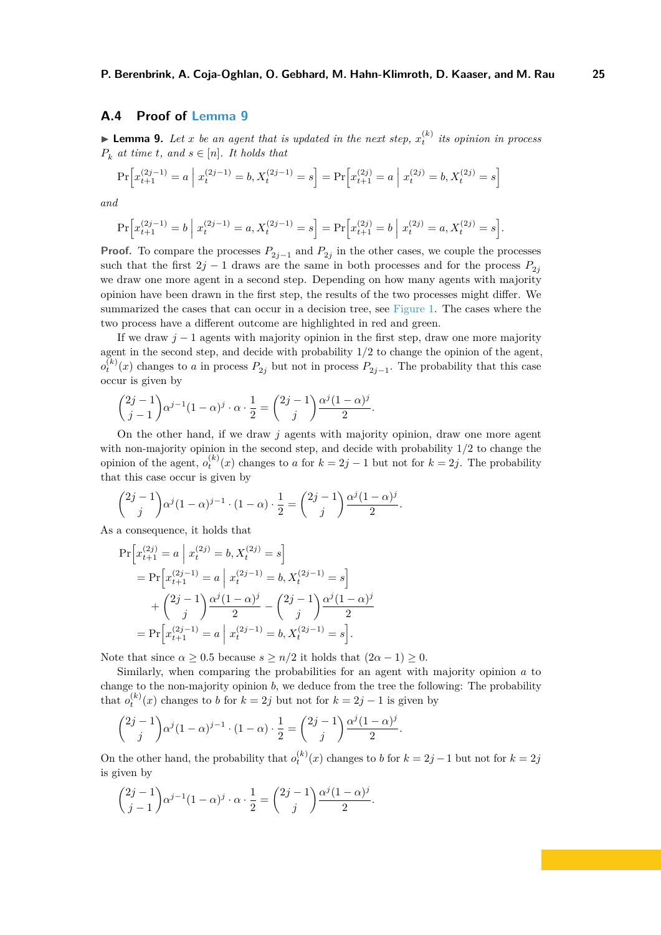### <span id="page-24-0"></span>**A.4 Proof of [Lemma 9](#page-7-0)**

**Lemma 9.** Let *x* be an agent that is updated in the next step,  $x_t^{(k)}$  its opinion in process  $P_k$  *at time t, and*  $s \in [n]$ *. It holds that* 

$$
\Pr\left[x_{t+1}^{(2j-1)} = a \mid x_t^{(2j-1)} = b, X_t^{(2j-1)} = s\right] = \Pr\left[x_{t+1}^{(2j)} = a \mid x_t^{(2j)} = b, X_t^{(2j)} = s\right]
$$

*and*

$$
\Pr\left[x_{t+1}^{(2j-1)}=b \; \middle| \; x_t^{(2j-1)}=a, X_t^{(2j-1)}=s\right] = \Pr\left[x_{t+1}^{(2j)}=b \; \middle| \; x_t^{(2j)}=a, X_t^{(2j)}=s\right].
$$

**Proof.** To compare the processes  $P_{2j-1}$  and  $P_{2j}$  in the other cases, we couple the processes such that the first  $2j - 1$  draws are the same in both processes and for the process  $P_{2j}$ we draw one more agent in a second step. Depending on how many agents with majority opinion have been drawn in the first step, the results of the two processes might differ. We summarized the cases that can occur in a decision tree, see [Figure 1.](#page-6-1) The cases where the two process have a different outcome are highlighted in red and green.

If we draw  $j-1$  agents with majority opinion in the first step, draw one more majority agent in the second step, and decide with probability 1*/*2 to change the opinion of the agent,  $o_t^{(k)}(x)$  changes to *a* in process  $P_{2j}$  but not in process  $P_{2j-1}$ . The probability that this case occur is given by

$$
\binom{2j-1}{j-1} \alpha^{j-1} (1-\alpha)^j \cdot \alpha \cdot \frac{1}{2} = \binom{2j-1}{j} \frac{\alpha^j (1-\alpha)^j}{2}.
$$

On the other hand, if we draw *j* agents with majority opinion, draw one more agent with non-majority opinion in the second step, and decide with probability 1*/*2 to change the opinion of the agent,  $o_t^{(k)}(x)$  changes to *a* for  $k = 2j - 1$  but not for  $k = 2j$ . The probability that this case occur is given by

$$
\binom{2j-1}{j}\alpha^j(1-\alpha)^{j-1}\cdot(1-\alpha)\cdot\frac{1}{2}=\binom{2j-1}{j}\frac{\alpha^j(1-\alpha)^j}{2}.
$$

As a consequence, it holds that

$$
\Pr\left[x_{t+1}^{(2j)} = a \middle| x_t^{(2j)} = b, X_t^{(2j)} = s\right]
$$
  
= 
$$
\Pr\left[x_{t+1}^{(2j-1)} = a \middle| x_t^{(2j-1)} = b, X_t^{(2j-1)} = s\right]
$$
  
+ 
$$
\binom{2j-1}{j} \frac{\alpha^j (1-\alpha)^j}{2} - \binom{2j-1}{j} \frac{\alpha^j (1-\alpha)^j}{2}
$$
  
= 
$$
\Pr\left[x_{t+1}^{(2j-1)} = a \middle| x_t^{(2j-1)} = b, X_t^{(2j-1)} = s\right].
$$

Note that since  $\alpha \geq 0.5$  because  $s \geq n/2$  it holds that  $(2\alpha - 1) \geq 0$ .

Similarly, when comparing the probabilities for an agent with majority opinion *a* to change to the non-majority opinion *b*, we deduce from the tree the following: The probability that  $o_t^{(k)}(x)$  changes to *b* for  $k = 2j$  but not for  $k = 2j - 1$  is given by

$$
\binom{2j-1}{j}\alpha^j(1-\alpha)^{j-1}\cdot(1-\alpha)\cdot\frac{1}{2}=\binom{2j-1}{j}\frac{\alpha^j(1-\alpha)^j}{2}.
$$

On the other hand, the probability that  $o_t^{(k)}(x)$  changes to *b* for  $k = 2j - 1$  but not for  $k = 2j$ is given by

$$
\binom{2j-1}{j-1} \alpha^{j-1} (1-\alpha)^j \cdot \alpha \cdot \frac{1}{2} = \binom{2j-1}{j} \frac{\alpha^j (1-\alpha)^j}{2}.
$$